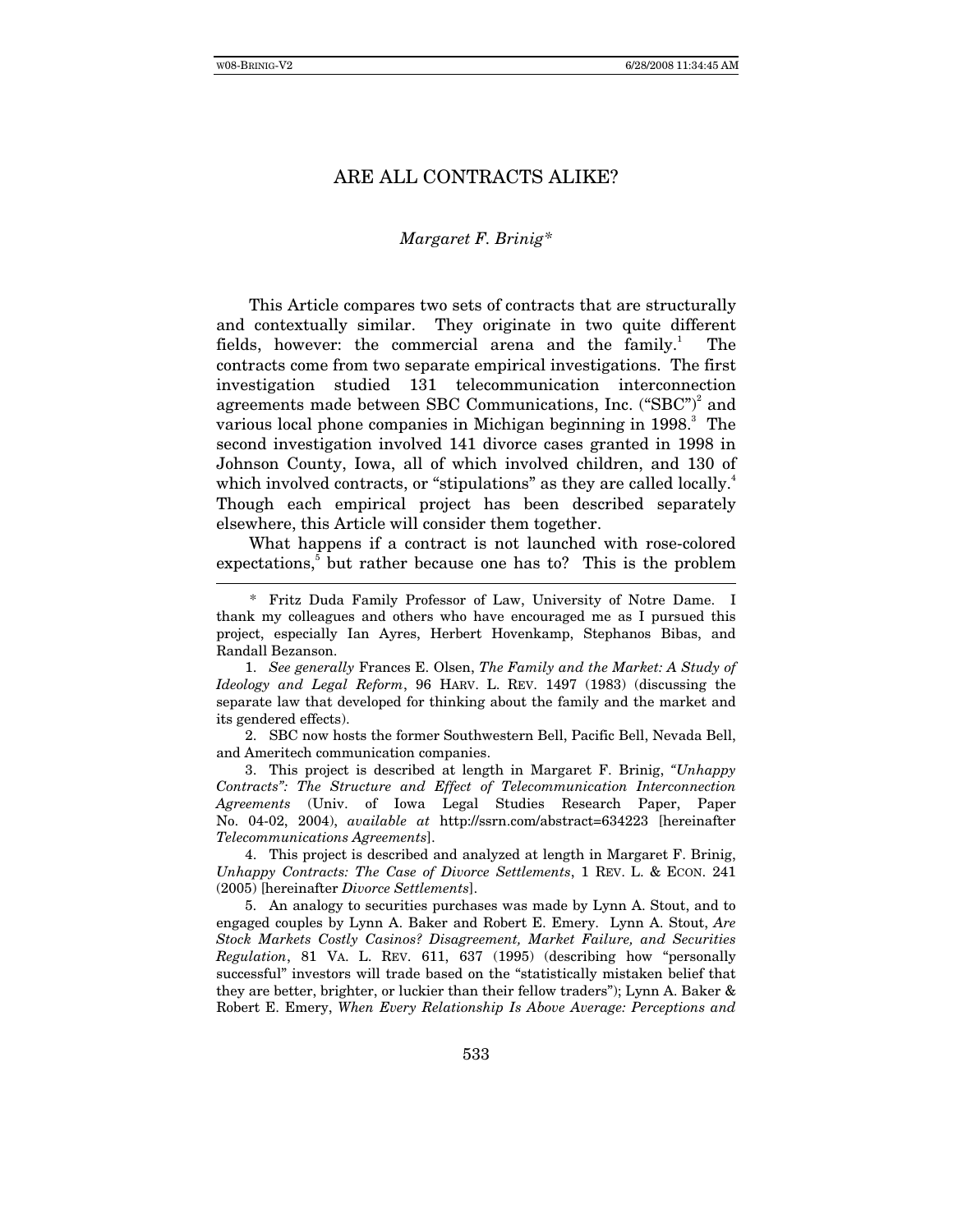## ARE ALL CONTRACTS ALIKE?

### *Margaret F. Brinig\**

This Article compares two sets of contracts that are structurally and contextually similar. They originate in two quite different fields, however: the commercial arena and the family.<sup>1</sup> The contracts come from two separate empirical investigations. The first investigation studied 131 telecommunication interconnection agreements made between SBC Communications, Inc. ("SBC")<sup>2</sup> and various local phone companies in Michigan beginning in 1998.<sup>3</sup> The second investigation involved 141 divorce cases granted in 1998 in Johnson County, Iowa, all of which involved children, and 130 of which involved contracts, or "stipulations" as they are called locally.<sup>4</sup> Though each empirical project has been described separately elsewhere, this Article will consider them together.

What happens if a contract is not launched with rose-colored expectations,<sup>5</sup> but rather because one has to? This is the problem

 1. *See generally* Frances E. Olsen, *The Family and the Market: A Study of Ideology and Legal Reform*, 96 HARV. L. REV. 1497 (1983) (discussing the separate law that developed for thinking about the family and the market and its gendered effects).

 2. SBC now hosts the former Southwestern Bell, Pacific Bell, Nevada Bell, and Ameritech communication companies.

 3. This project is described at length in Margaret F. Brinig, *"Unhappy Contracts": The Structure and Effect of Telecommunication Interconnection Agreements* (Univ. of Iowa Legal Studies Research Paper, Paper No. 04-02, 2004), *available at* http://ssrn.com/abstract=634223 [hereinafter *Telecommunications Agreements*].

 4. This project is described and analyzed at length in Margaret F. Brinig, *Unhappy Contracts: The Case of Divorce Settlements*, 1 REV. L. & ECON. 241 (2005) [hereinafter *Divorce Settlements*].

 5. An analogy to securities purchases was made by Lynn A. Stout, and to engaged couples by Lynn A. Baker and Robert E. Emery. Lynn A. Stout, *Are Stock Markets Costly Casinos? Disagreement, Market Failure, and Securities Regulation*, 81 VA. L. REV. 611, 637 (1995) (describing how "personally successful" investors will trade based on the "statistically mistaken belief that they are better, brighter, or luckier than their fellow traders"); Lynn A. Baker & Robert E. Emery, *When Every Relationship Is Above Average: Perceptions and* 

 <sup>\*</sup> Fritz Duda Family Professor of Law, University of Notre Dame. I thank my colleagues and others who have encouraged me as I pursued this project, especially Ian Ayres, Herbert Hovenkamp, Stephanos Bibas, and Randall Bezanson.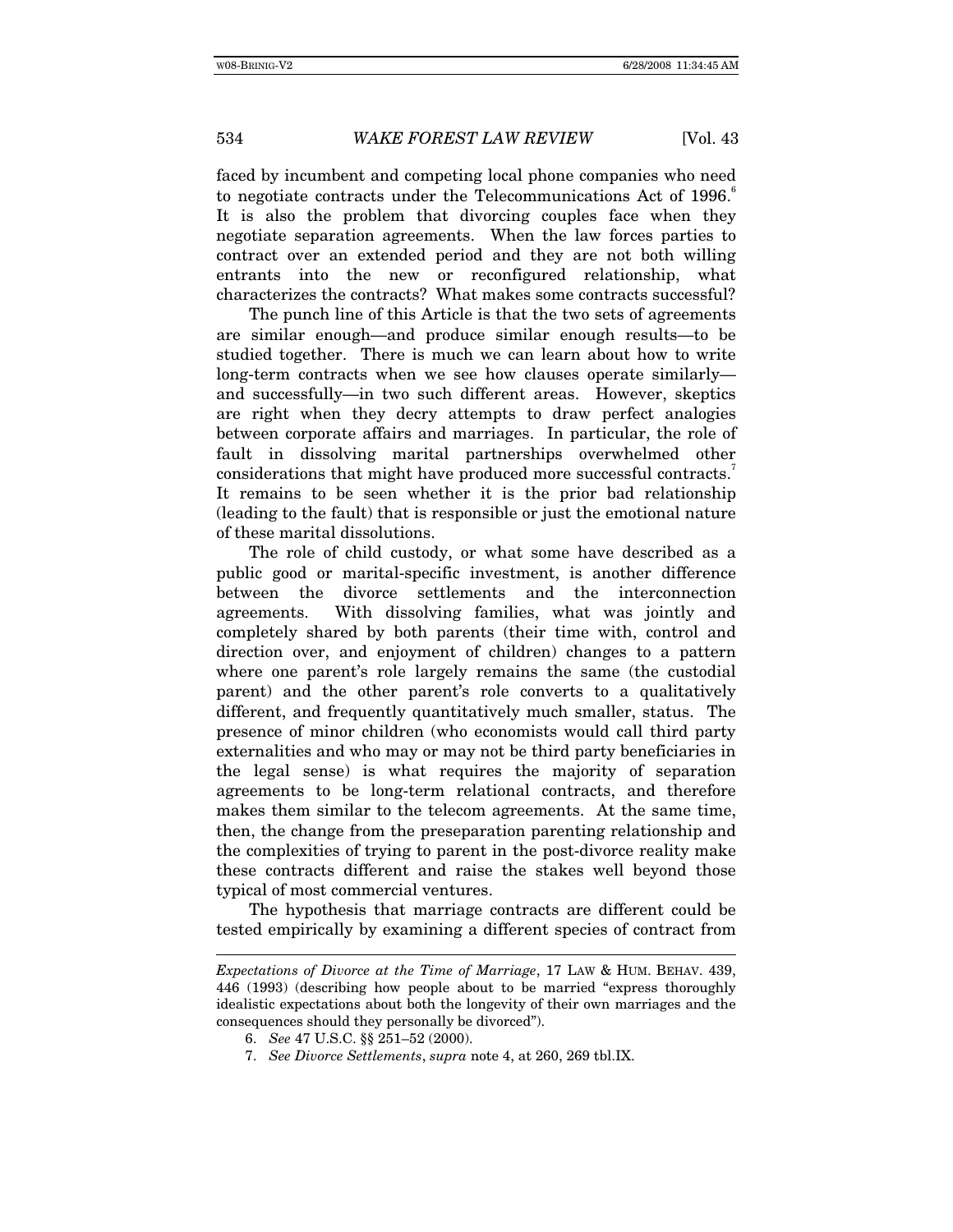## 534 *WAKE FOREST LAW REVIEW* [Vol. 43]

faced by incumbent and competing local phone companies who need to negotiate contracts under the Telecommunications Act of  $1996$ .<sup>6</sup> It is also the problem that divorcing couples face when they negotiate separation agreements. When the law forces parties to contract over an extended period and they are not both willing entrants into the new or reconfigured relationship, what characterizes the contracts? What makes some contracts successful?

The punch line of this Article is that the two sets of agreements are similar enough—and produce similar enough results—to be studied together. There is much we can learn about how to write long-term contracts when we see how clauses operate similarly and successfully—in two such different areas. However, skeptics are right when they decry attempts to draw perfect analogies between corporate affairs and marriages. In particular, the role of fault in dissolving marital partnerships overwhelmed other considerations that might have produced more successful contracts.<sup>7</sup> It remains to be seen whether it is the prior bad relationship (leading to the fault) that is responsible or just the emotional nature of these marital dissolutions.

The role of child custody, or what some have described as a public good or marital-specific investment, is another difference between the divorce settlements and the interconnection agreements. With dissolving families, what was jointly and completely shared by both parents (their time with, control and direction over, and enjoyment of children) changes to a pattern where one parent's role largely remains the same (the custodial parent) and the other parent's role converts to a qualitatively different, and frequently quantitatively much smaller, status. The presence of minor children (who economists would call third party externalities and who may or may not be third party beneficiaries in the legal sense) is what requires the majority of separation agreements to be long-term relational contracts, and therefore makes them similar to the telecom agreements. At the same time, then, the change from the preseparation parenting relationship and the complexities of trying to parent in the post-divorce reality make these contracts different and raise the stakes well beyond those typical of most commercial ventures.

The hypothesis that marriage contracts are different could be tested empirically by examining a different species of contract from

*Expectations of Divorce at the Time of Marriage*, 17 LAW & HUM. BEHAV. 439, 446 (1993) (describing how people about to be married "express thoroughly idealistic expectations about both the longevity of their own marriages and the consequences should they personally be divorced").

 <sup>6.</sup> *See* 47 U.S.C. §§ 251–52 (2000).

 <sup>7.</sup> *See Divorce Settlements*, *supra* note 4, at 260, 269 tbl.IX.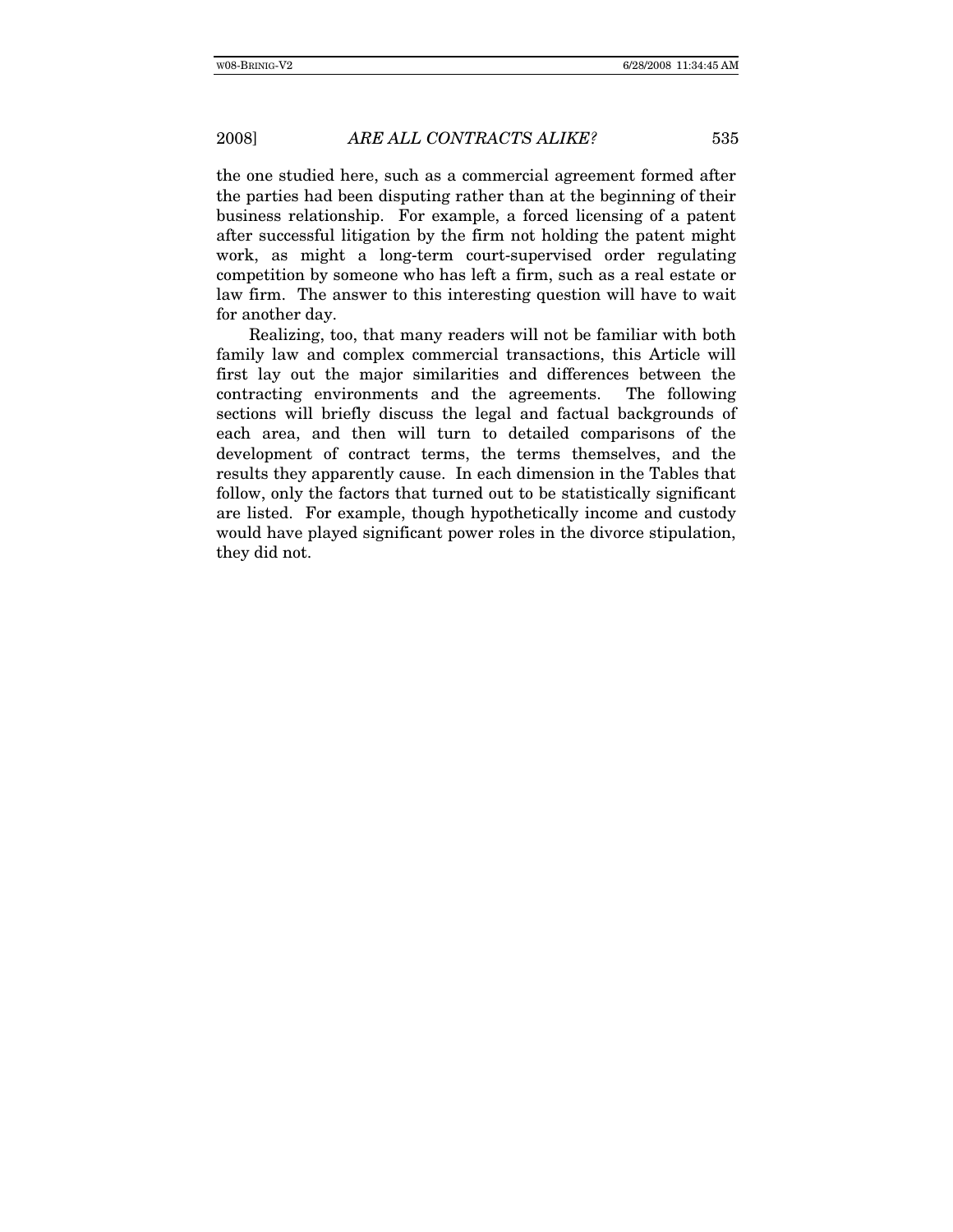the one studied here, such as a commercial agreement formed after the parties had been disputing rather than at the beginning of their business relationship. For example, a forced licensing of a patent after successful litigation by the firm not holding the patent might work, as might a long-term court-supervised order regulating competition by someone who has left a firm, such as a real estate or law firm. The answer to this interesting question will have to wait for another day.

Realizing, too, that many readers will not be familiar with both family law and complex commercial transactions, this Article will first lay out the major similarities and differences between the contracting environments and the agreements. The following sections will briefly discuss the legal and factual backgrounds of each area, and then will turn to detailed comparisons of the development of contract terms, the terms themselves, and the results they apparently cause. In each dimension in the Tables that follow, only the factors that turned out to be statistically significant are listed. For example, though hypothetically income and custody would have played significant power roles in the divorce stipulation, they did not.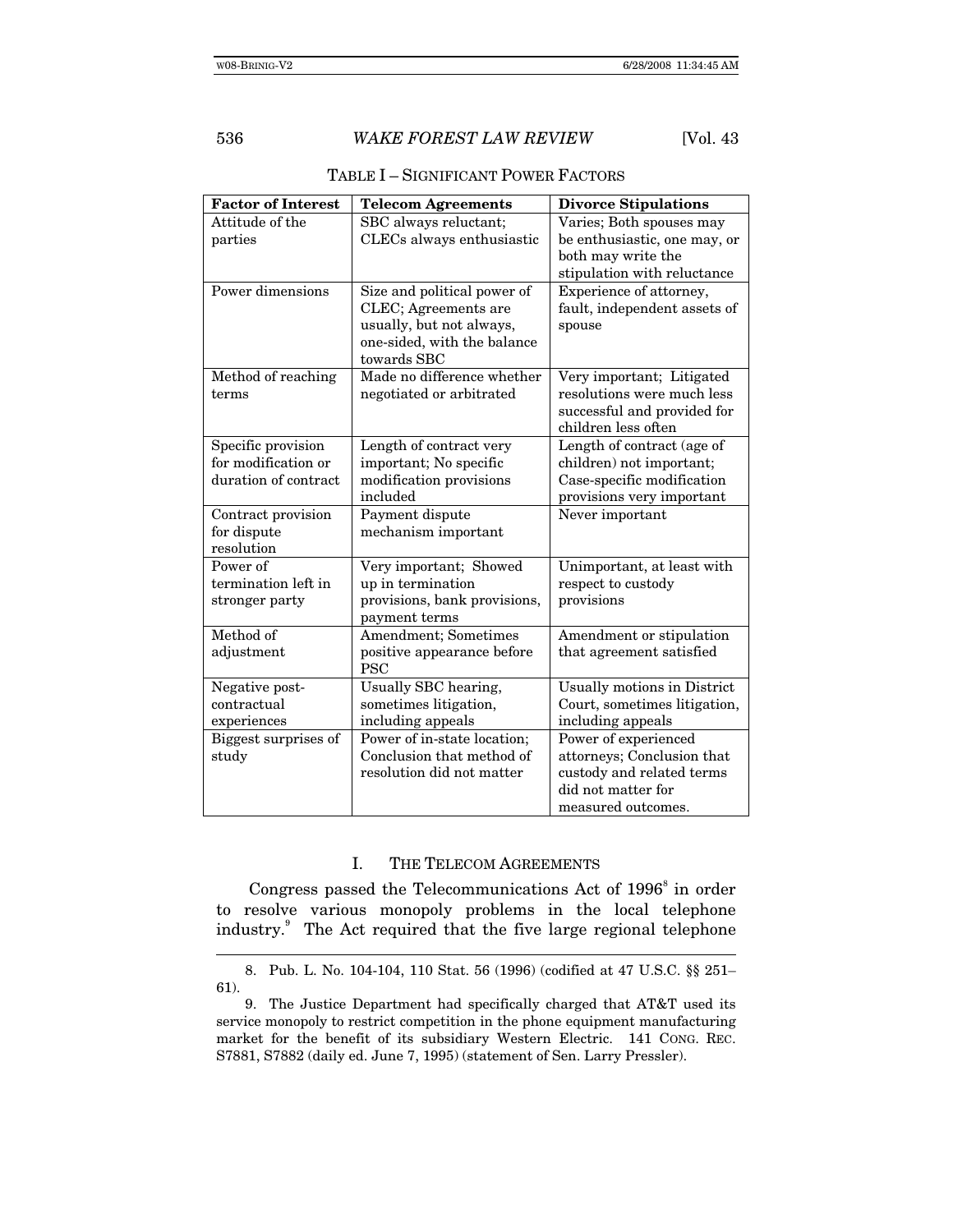### 536 *WAKE FOREST LAW REVIEW* [Vol. 43]

| <b>Factor of Interest</b> | <b>Telecom Agreements</b>                   | <b>Divorce Stipulations</b>                      |
|---------------------------|---------------------------------------------|--------------------------------------------------|
| Attitude of the           | SBC always reluctant;                       | Varies; Both spouses may                         |
| parties                   | CLECs always enthusiastic                   | be enthusiastic, one may, or                     |
|                           |                                             | both may write the                               |
|                           |                                             | stipulation with reluctance                      |
| Power dimensions          | Size and political power of                 | Experience of attorney,                          |
|                           | CLEC; Agreements are                        | fault, independent assets of                     |
|                           | usually, but not always,                    | spouse                                           |
|                           | one-sided, with the balance                 |                                                  |
|                           | towards SBC                                 |                                                  |
| Method of reaching        | Made no difference whether                  | Very important; Litigated                        |
| terms                     | negotiated or arbitrated                    | resolutions were much less                       |
|                           |                                             | successful and provided for                      |
|                           |                                             | children less often                              |
| Specific provision        | Length of contract very                     | Length of contract (age of                       |
| for modification or       | important; No specific                      | children) not important;                         |
| duration of contract      | modification provisions                     | Case-specific modification                       |
|                           | included                                    | provisions very important                        |
| Contract provision        | Payment dispute                             | Never important                                  |
| for dispute<br>resolution | mechanism important                         |                                                  |
| Power of                  |                                             |                                                  |
| termination left in       | Very important; Showed<br>up in termination | Unimportant, at least with<br>respect to custody |
|                           | provisions, bank provisions,                | provisions                                       |
| stronger party            | payment terms                               |                                                  |
| Method of                 | <b>Amendment</b> ; Sometimes                | Amendment or stipulation                         |
| adjustment                | positive appearance before                  | that agreement satisfied                         |
|                           | <b>PSC</b>                                  |                                                  |
| Negative post-            | Usually SBC hearing,                        | Usually motions in District                      |
| contractual               | sometimes litigation,                       | Court, sometimes litigation,                     |
| experiences               | including appeals                           | including appeals                                |
| Biggest surprises of      | Power of in-state location;                 | Power of experienced                             |
| study                     | Conclusion that method of                   | attorneys; Conclusion that                       |
|                           | resolution did not matter                   | custody and related terms                        |
|                           |                                             | did not matter for                               |
|                           |                                             | measured outcomes.                               |

### TABLE I – SIGNIFICANT POWER FACTORS

## I. THE TELECOM AGREEMENTS

Congress passed the Telecommunications Act of  $1996^{\circ}$  in order to resolve various monopoly problems in the local telephone industry.<sup>9</sup> The Act required that the five large regional telephone

 <sup>8.</sup> Pub. L. No. 104-104, 110 Stat. 56 (1996) (codified at 47 U.S.C. §§ 251– 61).

 <sup>9.</sup> The Justice Department had specifically charged that AT&T used its service monopoly to restrict competition in the phone equipment manufacturing market for the benefit of its subsidiary Western Electric. 141 CONG. REC. S7881, S7882 (daily ed. June 7, 1995) (statement of Sen. Larry Pressler).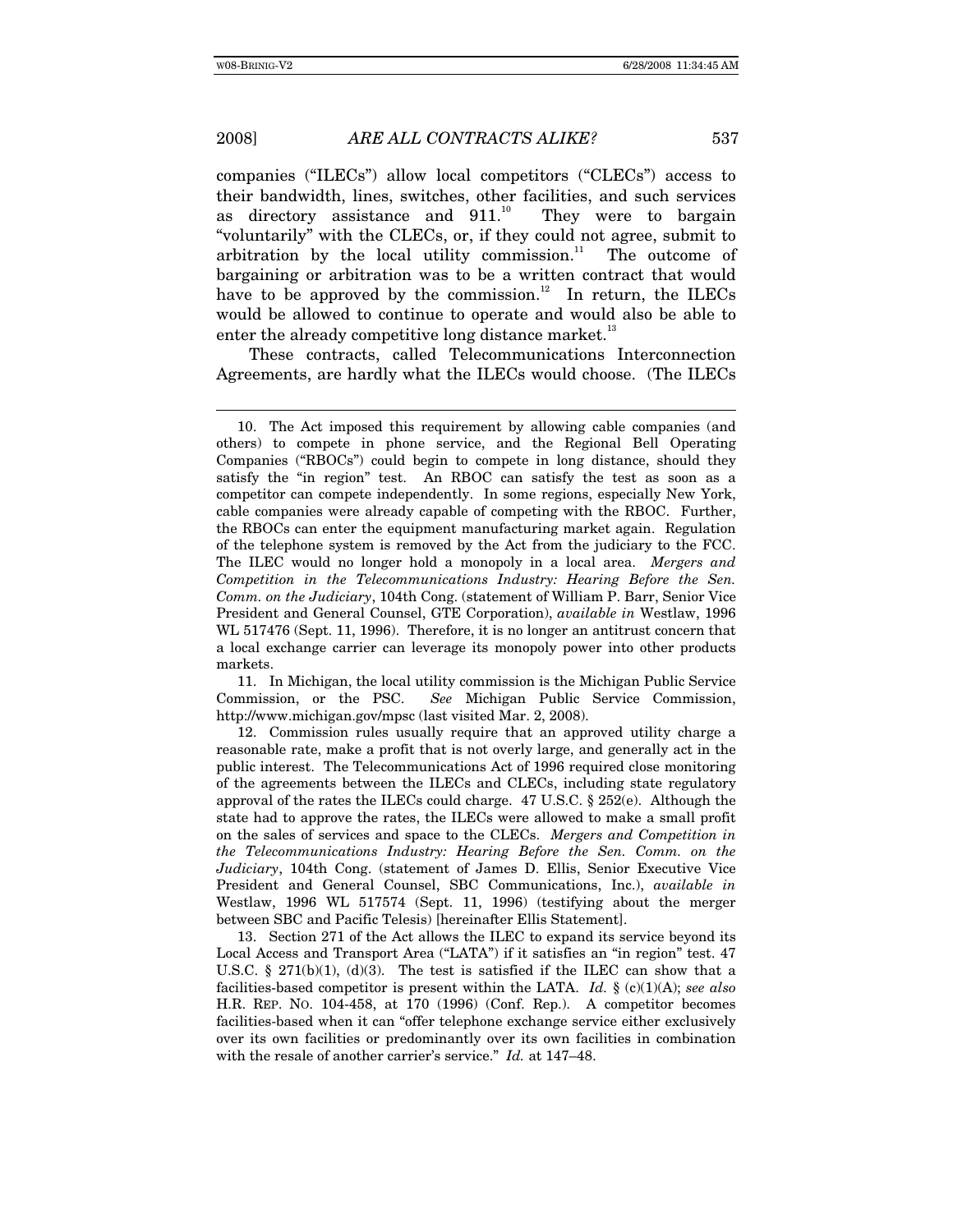## 2008] *ARE ALL CONTRACTS ALIKE?* 537

companies ("ILECs") allow local competitors ("CLECs") access to their bandwidth, lines, switches, other facilities, and such services as directory assistance and  $911$ .<sup>10</sup> They were to bargain "voluntarily" with the CLECs, or, if they could not agree, submit to arbitration by the local utility commission. $11$  The outcome of bargaining or arbitration was to be a written contract that would have to be approved by the commission.<sup>12</sup> In return, the ILECs would be allowed to continue to operate and would also be able to enter the already competitive long distance market.<sup>13</sup>

These contracts, called Telecommunications Interconnection Agreements, are hardly what the ILECs would choose. (The ILECs

 11. In Michigan, the local utility commission is the Michigan Public Service Commission, or the PSC. *See* Michigan Public Service Commission, http://www.michigan.gov/mpsc (last visited Mar. 2, 2008).

 12. Commission rules usually require that an approved utility charge a reasonable rate, make a profit that is not overly large, and generally act in the public interest. The Telecommunications Act of 1996 required close monitoring of the agreements between the ILECs and CLECs, including state regulatory approval of the rates the ILECs could charge.  $47 \text{ U.S.C.} \$   $252(e)$ . Although the state had to approve the rates, the ILECs were allowed to make a small profit on the sales of services and space to the CLECs. *Mergers and Competition in the Telecommunications Industry: Hearing Before the Sen. Comm. on the Judiciary*, 104th Cong. (statement of James D. Ellis, Senior Executive Vice President and General Counsel, SBC Communications, Inc.), *available in* Westlaw, 1996 WL 517574 (Sept. 11, 1996) (testifying about the merger between SBC and Pacific Telesis) [hereinafter Ellis Statement].

 13. Section 271 of the Act allows the ILEC to expand its service beyond its Local Access and Transport Area ("LATA") if it satisfies an "in region" test. 47 U.S.C. § 271(b)(1), (d)(3). The test is satisfied if the ILEC can show that a facilities-based competitor is present within the LATA. *Id.* § (c)(1)(A); *see also* H.R. REP. NO. 104-458, at 170 (1996) (Conf. Rep.). A competitor becomes facilities-based when it can "offer telephone exchange service either exclusively over its own facilities or predominantly over its own facilities in combination with the resale of another carrier's service." *Id.* at 147–48.

 <sup>10.</sup> The Act imposed this requirement by allowing cable companies (and others) to compete in phone service, and the Regional Bell Operating Companies ("RBOCs") could begin to compete in long distance, should they satisfy the "in region" test. An RBOC can satisfy the test as soon as a competitor can compete independently. In some regions, especially New York, cable companies were already capable of competing with the RBOC. Further, the RBOCs can enter the equipment manufacturing market again. Regulation of the telephone system is removed by the Act from the judiciary to the FCC. The ILEC would no longer hold a monopoly in a local area. *Mergers and Competition in the Telecommunications Industry: Hearing Before the Sen. Comm. on the Judiciary*, 104th Cong. (statement of William P. Barr, Senior Vice President and General Counsel, GTE Corporation), *available in* Westlaw, 1996 WL 517476 (Sept. 11, 1996). Therefore, it is no longer an antitrust concern that a local exchange carrier can leverage its monopoly power into other products markets.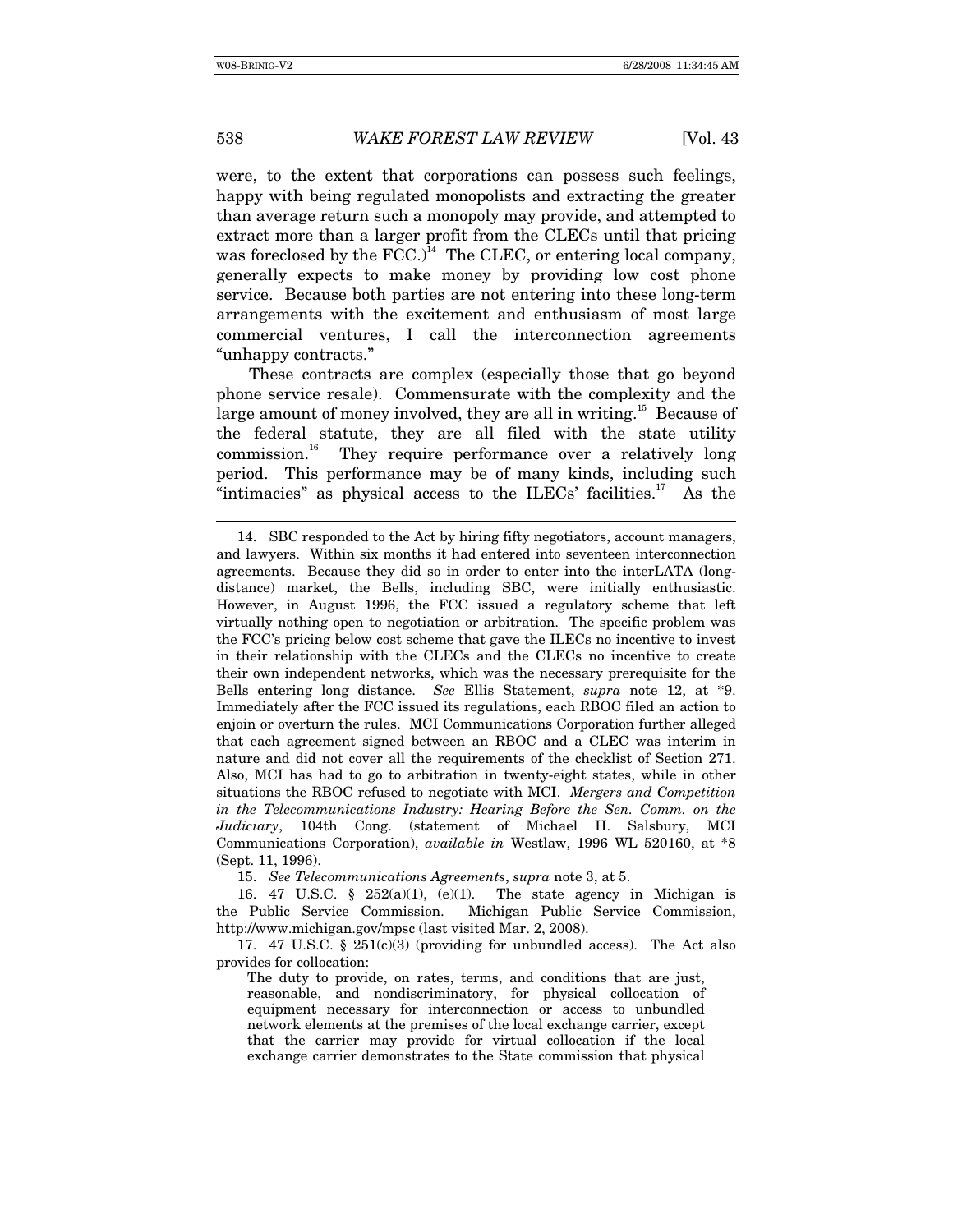## 538 *WAKE FOREST LAW REVIEW* [Vol. 43]

were, to the extent that corporations can possess such feelings, happy with being regulated monopolists and extracting the greater than average return such a monopoly may provide, and attempted to extract more than a larger profit from the CLECs until that pricing was foreclosed by the  $\widetilde{FCC}$ .)<sup>14</sup> The CLEC, or entering local company, generally expects to make money by providing low cost phone service. Because both parties are not entering into these long-term arrangements with the excitement and enthusiasm of most large commercial ventures, I call the interconnection agreements "unhappy contracts."

These contracts are complex (especially those that go beyond phone service resale). Commensurate with the complexity and the large amount of money involved, they are all in writing.<sup>15</sup> Because of the federal statute, they are all filed with the state utility commission.<sup>16</sup> They require performance over a relatively long period. This performance may be of many kinds, including such "intimacies" as physical access to the ILECs' facilities. $17$  As the

15. *See Telecommunications Agreements*, *supra* note 3, at 5.

16. 47 U.S.C. §  $252(a)(1)$ , (e)(1). The state agency in Michigan is the Public Service Commission. Michigan Public Service Commission, http://www.michigan.gov/mpsc (last visited Mar. 2, 2008).

17. 47 U.S.C.  $\S$  251(c)(3) (providing for unbundled access). The Act also provides for collocation:

The duty to provide, on rates, terms, and conditions that are just, reasonable, and nondiscriminatory, for physical collocation of equipment necessary for interconnection or access to unbundled network elements at the premises of the local exchange carrier, except that the carrier may provide for virtual collocation if the local exchange carrier demonstrates to the State commission that physical

 <sup>14.</sup> SBC responded to the Act by hiring fifty negotiators, account managers, and lawyers. Within six months it had entered into seventeen interconnection agreements. Because they did so in order to enter into the interLATA (longdistance) market, the Bells, including SBC, were initially enthusiastic. However, in August 1996, the FCC issued a regulatory scheme that left virtually nothing open to negotiation or arbitration. The specific problem was the FCC's pricing below cost scheme that gave the ILECs no incentive to invest in their relationship with the CLECs and the CLECs no incentive to create their own independent networks, which was the necessary prerequisite for the Bells entering long distance. *See* Ellis Statement, *supra* note 12, at \*9. Immediately after the FCC issued its regulations, each RBOC filed an action to enjoin or overturn the rules. MCI Communications Corporation further alleged that each agreement signed between an RBOC and a CLEC was interim in nature and did not cover all the requirements of the checklist of Section 271. Also, MCI has had to go to arbitration in twenty-eight states, while in other situations the RBOC refused to negotiate with MCI. *Mergers and Competition in the Telecommunications Industry: Hearing Before the Sen. Comm. on the Judiciary*, 104th Cong. (statement of Michael H. Salsbury, MCI Communications Corporation), *available in* Westlaw, 1996 WL 520160, at \*8 (Sept. 11, 1996).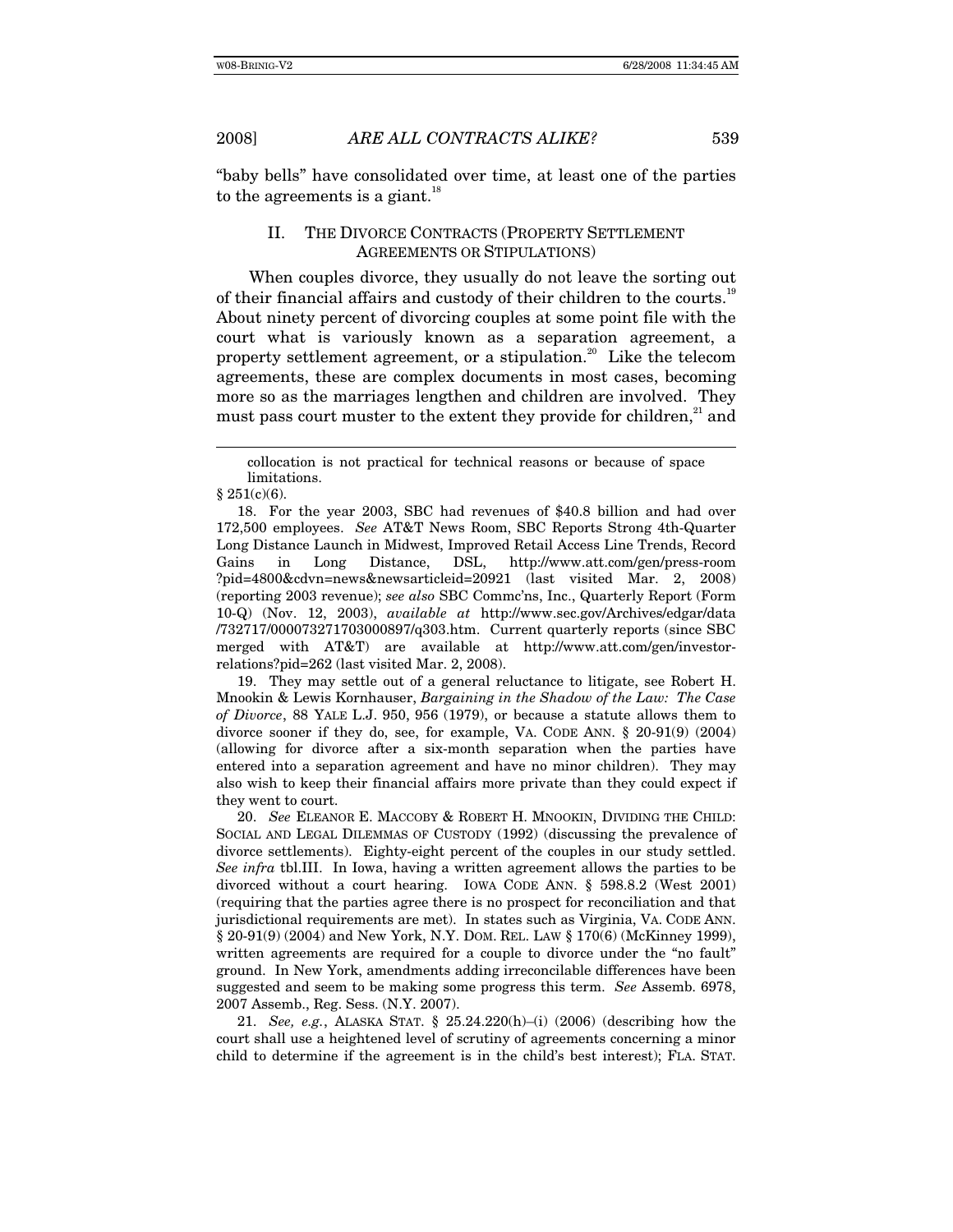"baby bells" have consolidated over time, at least one of the parties to the agreements is a giant.<sup>18</sup>

### II. THE DIVORCE CONTRACTS (PROPERTY SETTLEMENT AGREEMENTS OR STIPULATIONS)

When couples divorce, they usually do not leave the sorting out of their financial affairs and custody of their children to the courts.<sup>19</sup> About ninety percent of divorcing couples at some point file with the court what is variously known as a separation agreement, a property settlement agreement, or a stipulation.<sup>20</sup> Like the telecom agreements, these are complex documents in most cases, becoming more so as the marriages lengthen and children are involved. They must pass court muster to the extent they provide for children, $2<sup>1</sup>$  and

-

 18. For the year 2003, SBC had revenues of \$40.8 billion and had over 172,500 employees. *See* AT&T News Room, SBC Reports Strong 4th-Quarter Long Distance Launch in Midwest, Improved Retail Access Line Trends, Record Gains in Long Distance, DSL, http://www.att.com/gen/press-room ?pid=4800&cdvn=news&newsarticleid=20921 (last visited Mar. 2, 2008) (reporting 2003 revenue); *see also* SBC Commc'ns, Inc., Quarterly Report (Form 10-Q) (Nov. 12, 2003), *available at* http://www.sec.gov/Archives/edgar/data /732717/000073271703000897/q303.htm. Current quarterly reports (since SBC merged with AT&T) are available at http://www.att.com/gen/investorrelations?pid=262 (last visited Mar. 2, 2008).

 19. They may settle out of a general reluctance to litigate, see Robert H. Mnookin & Lewis Kornhauser, *Bargaining in the Shadow of the Law: The Case of Divorce*, 88 YALE L.J. 950, 956 (1979), or because a statute allows them to divorce sooner if they do, see, for example, VA. CODE ANN. § 20-91(9) (2004) (allowing for divorce after a six-month separation when the parties have entered into a separation agreement and have no minor children). They may also wish to keep their financial affairs more private than they could expect if they went to court.

 20. *See* ELEANOR E. MACCOBY & ROBERT H. MNOOKIN, DIVIDING THE CHILD: SOCIAL AND LEGAL DILEMMAS OF CUSTODY (1992) (discussing the prevalence of divorce settlements). Eighty-eight percent of the couples in our study settled. *See infra* tbl.III. In Iowa, having a written agreement allows the parties to be divorced without a court hearing. IOWA CODE ANN. § 598.8.2 (West 2001) (requiring that the parties agree there is no prospect for reconciliation and that jurisdictional requirements are met). In states such as Virginia, VA. CODE ANN. § 20-91(9) (2004) and New York, N.Y. DOM. REL. LAW § 170(6) (McKinney 1999), written agreements are required for a couple to divorce under the "no fault" ground. In New York, amendments adding irreconcilable differences have been suggested and seem to be making some progress this term. *See* Assemb. 6978, 2007 Assemb., Reg. Sess. (N.Y. 2007).

 21. *See, e.g.*, ALASKA STAT. § 25.24.220(h)–(i) (2006) (describing how the court shall use a heightened level of scrutiny of agreements concerning a minor child to determine if the agreement is in the child's best interest); FLA. STAT.

collocation is not practical for technical reasons or because of space limitations.

 $§ 251(c)(6).$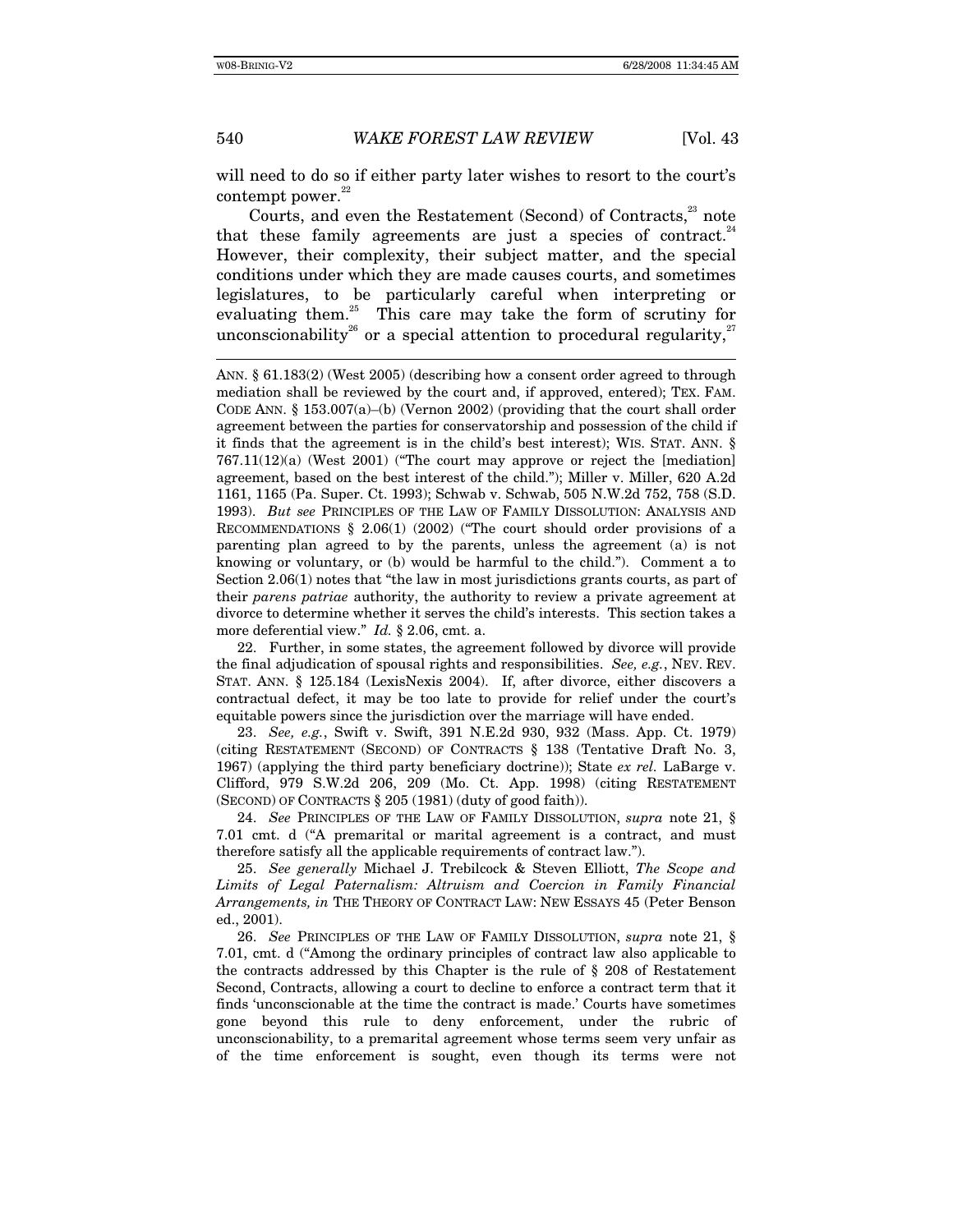540 *WAKE FOREST LAW REVIEW* [Vol. 43]

will need to do so if either party later wishes to resort to the court's contempt power. $22$ 

Courts, and even the Restatement (Second) of Contracts,<sup>23</sup> note that these family agreements are just a species of contract.<sup>24</sup> However, their complexity, their subject matter, and the special conditions under which they are made causes courts, and sometimes legislatures, to be particularly careful when interpreting or evaluating them.<sup>25</sup> This care may take the form of scrutiny for unconscionability<sup>26</sup> or a special attention to procedural regularity,<sup>27</sup>

 22. Further, in some states, the agreement followed by divorce will provide the final adjudication of spousal rights and responsibilities. *See, e.g.*, NEV. REV. STAT. ANN. § 125.184 (LexisNexis 2004). If, after divorce, either discovers a contractual defect, it may be too late to provide for relief under the court's equitable powers since the jurisdiction over the marriage will have ended.

 23. *See, e.g.*, Swift v. Swift, 391 N.E.2d 930, 932 (Mass. App. Ct. 1979) (citing RESTATEMENT (SECOND) OF CONTRACTS § 138 (Tentative Draft No. 3, 1967) (applying the third party beneficiary doctrine)); State *ex rel.* LaBarge v. Clifford, 979 S.W.2d 206, 209 (Mo. Ct. App. 1998) (citing RESTATEMENT (SECOND) OF CONTRACTS § 205 (1981) (duty of good faith)).

 24. *See* PRINCIPLES OF THE LAW OF FAMILY DISSOLUTION, *supra* note 21, § 7.01 cmt. d ("A premarital or marital agreement is a contract, and must therefore satisfy all the applicable requirements of contract law.").

 25. *See generally* Michael J. Trebilcock & Steven Elliott, *The Scope and Limits of Legal Paternalism: Altruism and Coercion in Family Financial Arrangements, in* THE THEORY OF CONTRACT LAW: NEW ESSAYS 45 (Peter Benson ed., 2001).

 26. *See* PRINCIPLES OF THE LAW OF FAMILY DISSOLUTION, *supra* note 21, § 7.01, cmt. d ("Among the ordinary principles of contract law also applicable to the contracts addressed by this Chapter is the rule of § 208 of Restatement Second, Contracts, allowing a court to decline to enforce a contract term that it finds 'unconscionable at the time the contract is made.' Courts have sometimes gone beyond this rule to deny enforcement, under the rubric of unconscionability, to a premarital agreement whose terms seem very unfair as of the time enforcement is sought, even though its terms were not

ANN. § 61.183(2) (West 2005) (describing how a consent order agreed to through mediation shall be reviewed by the court and, if approved, entered); TEX. FAM. CODE ANN.  $\S 153.007(a)$ –(b) (Vernon 2002) (providing that the court shall order agreement between the parties for conservatorship and possession of the child if it finds that the agreement is in the child's best interest); WIS. STAT. ANN. § 767.11(12)(a) (West 2001) ("The court may approve or reject the [mediation] agreement, based on the best interest of the child."); Miller v. Miller, 620 A.2d 1161, 1165 (Pa. Super. Ct. 1993); Schwab v. Schwab, 505 N.W.2d 752, 758 (S.D. 1993). *But see* PRINCIPLES OF THE LAW OF FAMILY DISSOLUTION: ANALYSIS AND RECOMMENDATIONS § 2.06(1) (2002) ("The court should order provisions of a parenting plan agreed to by the parents, unless the agreement (a) is not knowing or voluntary, or (b) would be harmful to the child."). Comment a to Section 2.06(1) notes that "the law in most jurisdictions grants courts, as part of their *parens patriae* authority, the authority to review a private agreement at divorce to determine whether it serves the child's interests. This section takes a more deferential view." *Id.* § 2.06, cmt. a.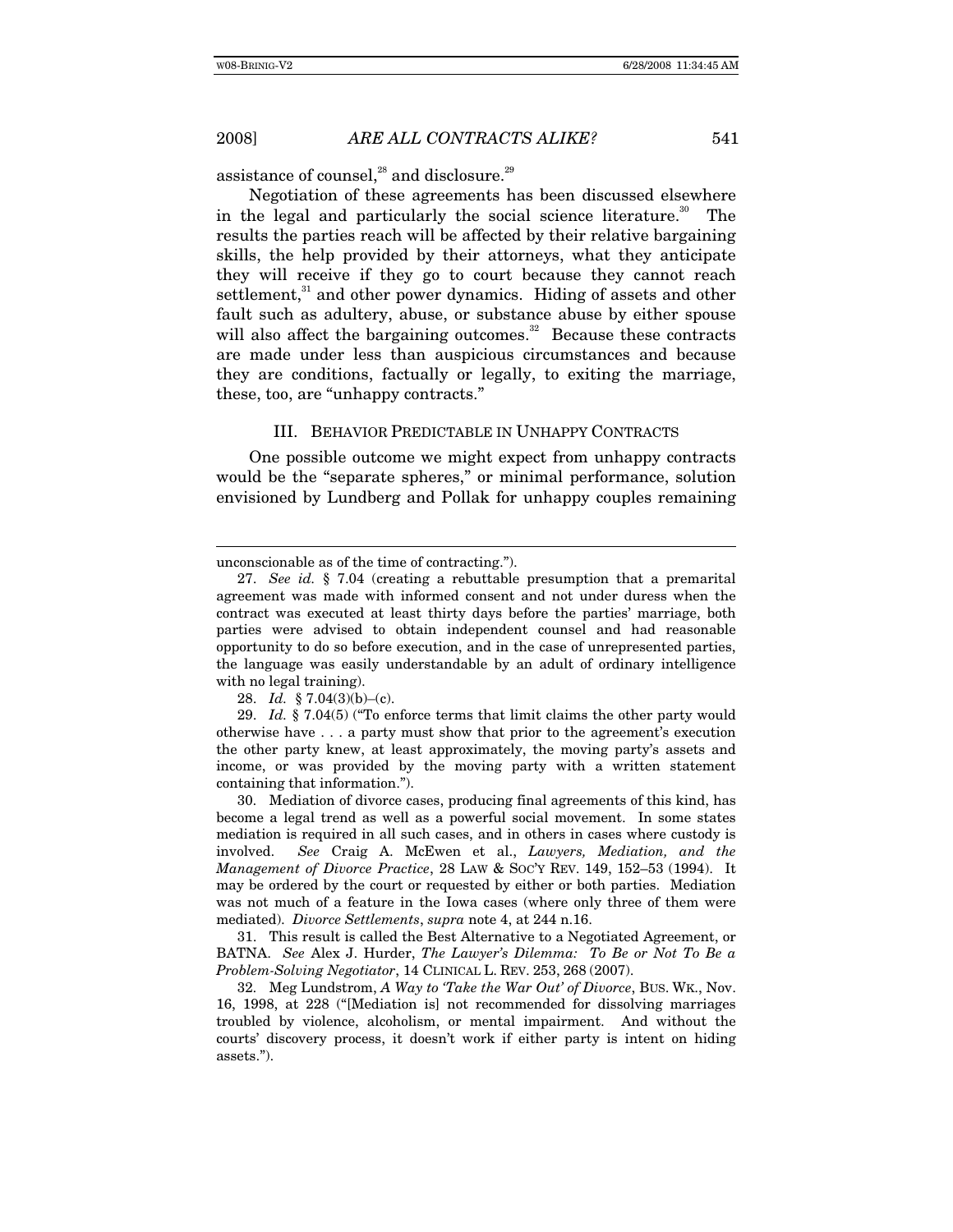assistance of counsel, $^{28}$  and disclosure. $^{29}$ 

Negotiation of these agreements has been discussed elsewhere in the legal and particularly the social science literature.<sup>30</sup> The results the parties reach will be affected by their relative bargaining skills, the help provided by their attorneys, what they anticipate they will receive if they go to court because they cannot reach settlement,<sup>31</sup> and other power dynamics. Hiding of assets and other fault such as adultery, abuse, or substance abuse by either spouse will also affect the bargaining outcomes. $32$  Because these contracts are made under less than auspicious circumstances and because they are conditions, factually or legally, to exiting the marriage, these, too, are "unhappy contracts."

## III. BEHAVIOR PREDICTABLE IN UNHAPPY CONTRACTS

One possible outcome we might expect from unhappy contracts would be the "separate spheres," or minimal performance, solution envisioned by Lundberg and Pollak for unhappy couples remaining

28. *Id.* § 7.04(3)(b)–(c).

1

 29. *Id.* § 7.04(5) ("To enforce terms that limit claims the other party would otherwise have . . . a party must show that prior to the agreement's execution the other party knew, at least approximately, the moving party's assets and income, or was provided by the moving party with a written statement containing that information.").

 30. Mediation of divorce cases, producing final agreements of this kind, has become a legal trend as well as a powerful social movement. In some states mediation is required in all such cases, and in others in cases where custody is involved. *See* Craig A. McEwen et al., *Lawyers, Mediation, and the Management of Divorce Practice*, 28 LAW & SOC'Y REV. 149, 152–53 (1994). It may be ordered by the court or requested by either or both parties. Mediation was not much of a feature in the Iowa cases (where only three of them were mediated). *Divorce Settlements*, *supra* note 4, at 244 n.16.

 31. This result is called the Best Alternative to a Negotiated Agreement, or BATNA. *See* Alex J. Hurder, *The Lawyer's Dilemma: To Be or Not To Be a Problem-Solving Negotiator*, 14 CLINICAL L. REV. 253, 268 (2007).

 32. Meg Lundstrom, *A Way to 'Take the War Out' of Divorce*, BUS. WK., Nov. 16, 1998, at 228 ("[Mediation is] not recommended for dissolving marriages troubled by violence, alcoholism, or mental impairment. And without the courts' discovery process, it doesn't work if either party is intent on hiding assets.").

unconscionable as of the time of contracting.").

 <sup>27.</sup> *See id.* § 7.04 (creating a rebuttable presumption that a premarital agreement was made with informed consent and not under duress when the contract was executed at least thirty days before the parties' marriage, both parties were advised to obtain independent counsel and had reasonable opportunity to do so before execution, and in the case of unrepresented parties, the language was easily understandable by an adult of ordinary intelligence with no legal training).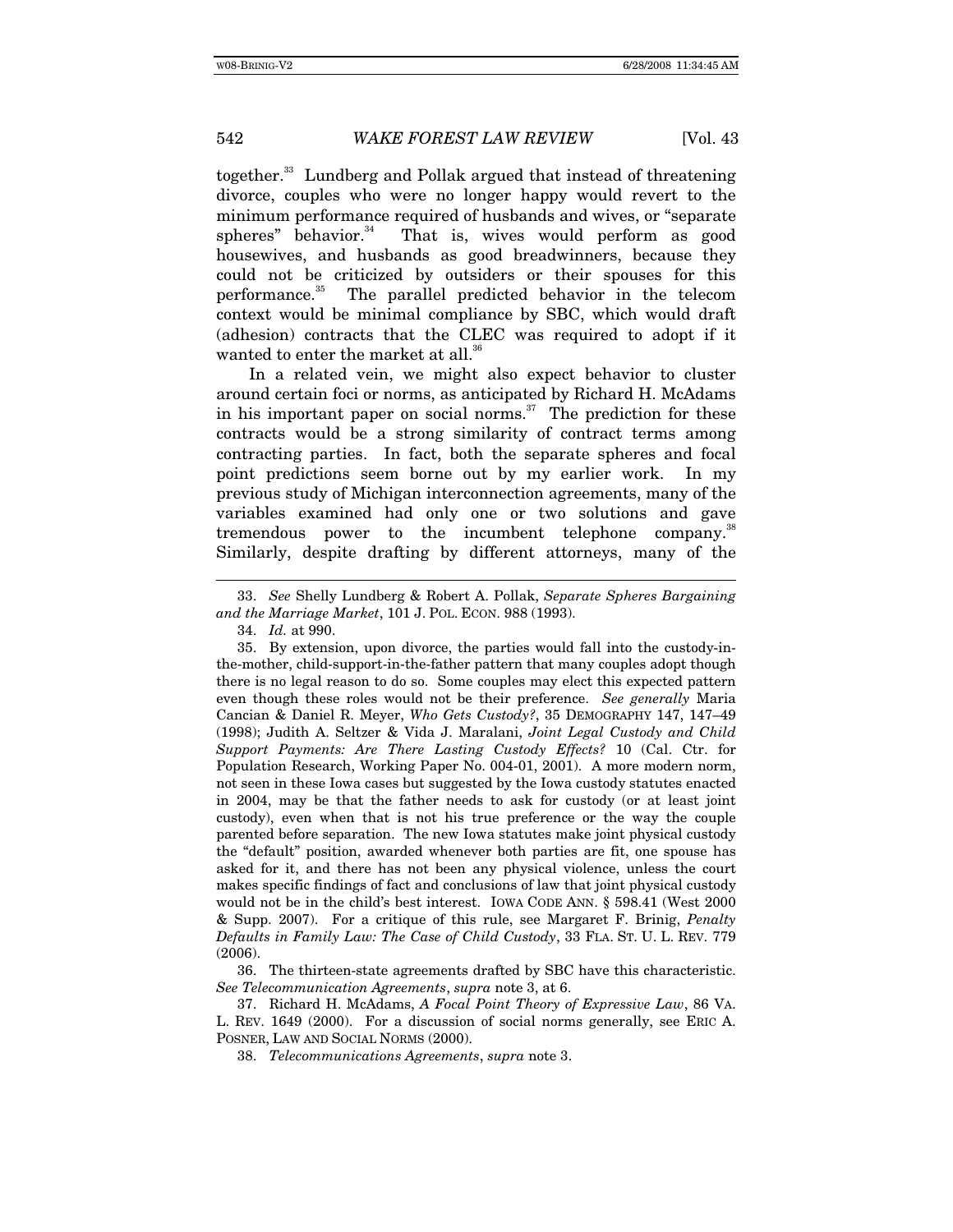# 542 *WAKE FOREST LAW REVIEW* [Vol. 43

together.<sup>33</sup> Lundberg and Pollak argued that instead of threatening divorce, couples who were no longer happy would revert to the minimum performance required of husbands and wives, or "separate spheres" behavior. $34$  That is, wives would perform as good housewives, and husbands as good breadwinners, because they could not be criticized by outsiders or their spouses for this performance.<sup>35</sup> The parallel predicted behavior in the telecom context would be minimal compliance by SBC, which would draft (adhesion) contracts that the CLEC was required to adopt if it wanted to enter the market at all.<sup>36</sup>

In a related vein, we might also expect behavior to cluster around certain foci or norms, as anticipated by Richard H. McAdams in his important paper on social norms. $37$  The prediction for these contracts would be a strong similarity of contract terms among contracting parties. In fact, both the separate spheres and focal point predictions seem borne out by my earlier work. In my previous study of Michigan interconnection agreements, many of the variables examined had only one or two solutions and gave tremendous power to the incumbent telephone company.<sup>38</sup> Similarly, despite drafting by different attorneys, many of the

34. *Id.* at 990.

-

 35. By extension, upon divorce, the parties would fall into the custody-inthe-mother, child-support-in-the-father pattern that many couples adopt though there is no legal reason to do so. Some couples may elect this expected pattern even though these roles would not be their preference. *See generally* Maria Cancian & Daniel R. Meyer, *Who Gets Custody?*, 35 DEMOGRAPHY 147, 147–49 (1998); Judith A. Seltzer & Vida J. Maralani, *Joint Legal Custody and Child Support Payments: Are There Lasting Custody Effects?* 10 (Cal. Ctr. for Population Research, Working Paper No. 004-01, 2001). A more modern norm, not seen in these Iowa cases but suggested by the Iowa custody statutes enacted in 2004, may be that the father needs to ask for custody (or at least joint custody), even when that is not his true preference or the way the couple parented before separation. The new Iowa statutes make joint physical custody the "default" position, awarded whenever both parties are fit, one spouse has asked for it, and there has not been any physical violence, unless the court makes specific findings of fact and conclusions of law that joint physical custody would not be in the child's best interest. IOWA CODE ANN. § 598.41 (West 2000 & Supp. 2007). For a critique of this rule, see Margaret F. Brinig, *Penalty Defaults in Family Law: The Case of Child Custody*, 33 FLA. ST. U. L. REV. 779 (2006).

 36. The thirteen-state agreements drafted by SBC have this characteristic. *See Telecommunication Agreements*, *supra* note 3, at 6.

 37. Richard H. McAdams, *A Focal Point Theory of Expressive Law*, 86 VA. L. REV. 1649 (2000). For a discussion of social norms generally, see ERIC A. POSNER, LAW AND SOCIAL NORMS (2000).

38. *Telecommunications Agreements*, *supra* note 3.

 <sup>33.</sup> *See* Shelly Lundberg & Robert A. Pollak, *Separate Spheres Bargaining and the Marriage Market*, 101 J. POL. ECON. 988 (1993).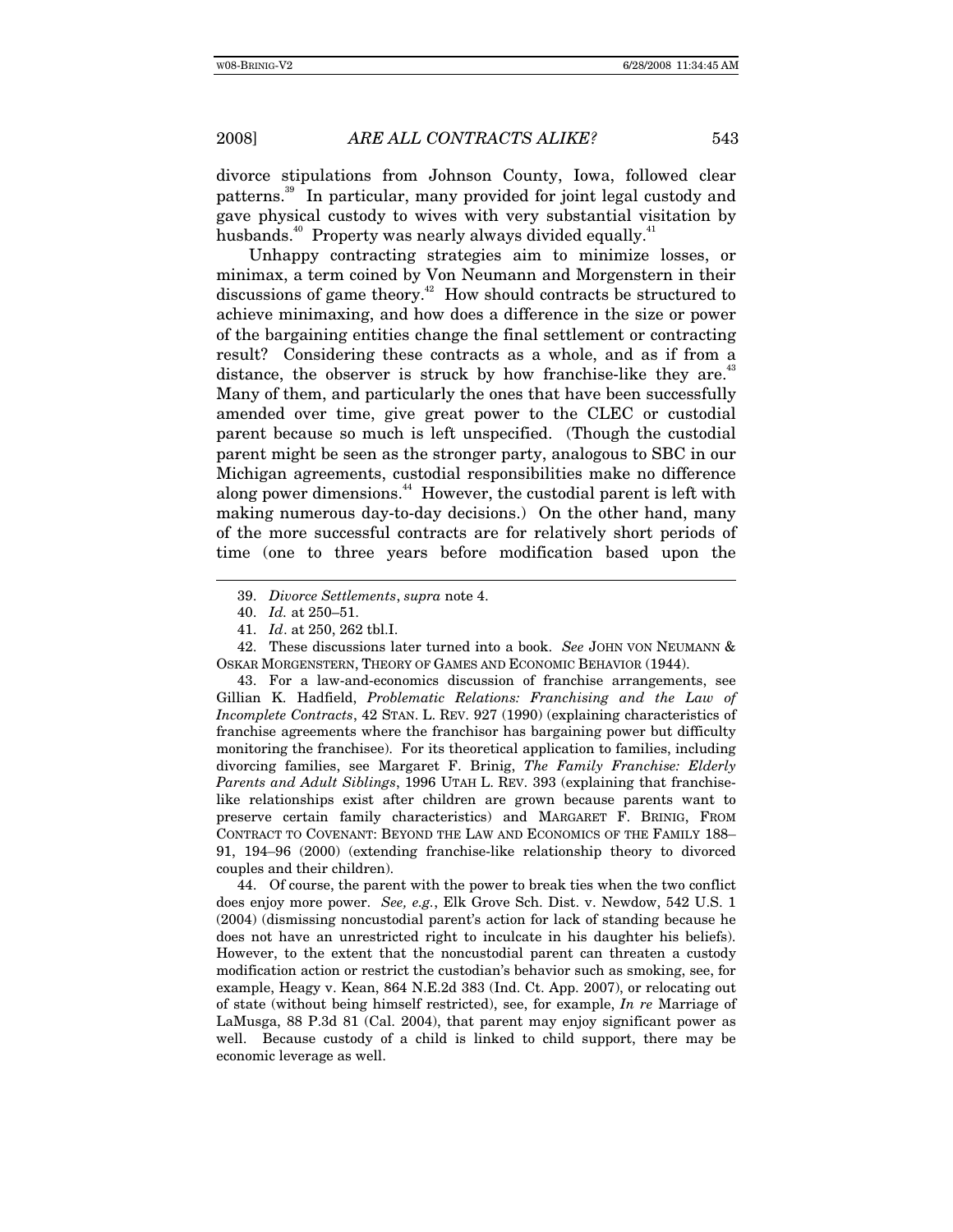divorce stipulations from Johnson County, Iowa, followed clear patterns.39 In particular, many provided for joint legal custody and gave physical custody to wives with very substantial visitation by husbands.<sup>40</sup> Property was nearly always divided equally.<sup>41</sup>

Unhappy contracting strategies aim to minimize losses, or minimax, a term coined by Von Neumann and Morgenstern in their discussions of game theory.<sup>42</sup> How should contracts be structured to achieve minimaxing, and how does a difference in the size or power of the bargaining entities change the final settlement or contracting result? Considering these contracts as a whole, and as if from a distance, the observer is struck by how franchise-like they are.<sup>43</sup> Many of them, and particularly the ones that have been successfully amended over time, give great power to the CLEC or custodial parent because so much is left unspecified. (Though the custodial parent might be seen as the stronger party, analogous to SBC in our Michigan agreements, custodial responsibilities make no difference along power dimensions.<sup>44</sup> However, the custodial parent is left with making numerous day-to-day decisions.) On the other hand, many of the more successful contracts are for relatively short periods of time (one to three years before modification based upon the

-

 42. These discussions later turned into a book. *See* JOHN VON NEUMANN & OSKAR MORGENSTERN, THEORY OF GAMES AND ECONOMIC BEHAVIOR (1944).

 43. For a law-and-economics discussion of franchise arrangements, see Gillian K. Hadfield, *Problematic Relations: Franchising and the Law of Incomplete Contracts*, 42 STAN. L. REV. 927 (1990) (explaining characteristics of franchise agreements where the franchisor has bargaining power but difficulty monitoring the franchisee). For its theoretical application to families, including divorcing families, see Margaret F. Brinig, *The Family Franchise: Elderly Parents and Adult Siblings*, 1996 UTAH L. REV. 393 (explaining that franchiselike relationships exist after children are grown because parents want to preserve certain family characteristics) and MARGARET F. BRINIG, FROM CONTRACT TO COVENANT: BEYOND THE LAW AND ECONOMICS OF THE FAMILY 188– 91, 194–96 (2000) (extending franchise-like relationship theory to divorced couples and their children).

 44. Of course, the parent with the power to break ties when the two conflict does enjoy more power. *See, e.g.*, Elk Grove Sch. Dist. v. Newdow, 542 U.S. 1 (2004) (dismissing noncustodial parent's action for lack of standing because he does not have an unrestricted right to inculcate in his daughter his beliefs). However, to the extent that the noncustodial parent can threaten a custody modification action or restrict the custodian's behavior such as smoking, see, for example, Heagy v. Kean, 864 N.E.2d 383 (Ind. Ct. App. 2007), or relocating out of state (without being himself restricted), see, for example, *In re* Marriage of LaMusga, 88 P.3d 81 (Cal. 2004), that parent may enjoy significant power as well. Because custody of a child is linked to child support, there may be economic leverage as well.

 <sup>39.</sup> *Divorce Settlements*, *supra* note 4.

 <sup>40.</sup> *Id.* at 250–51.

 <sup>41.</sup> *Id*. at 250, 262 tbl.I.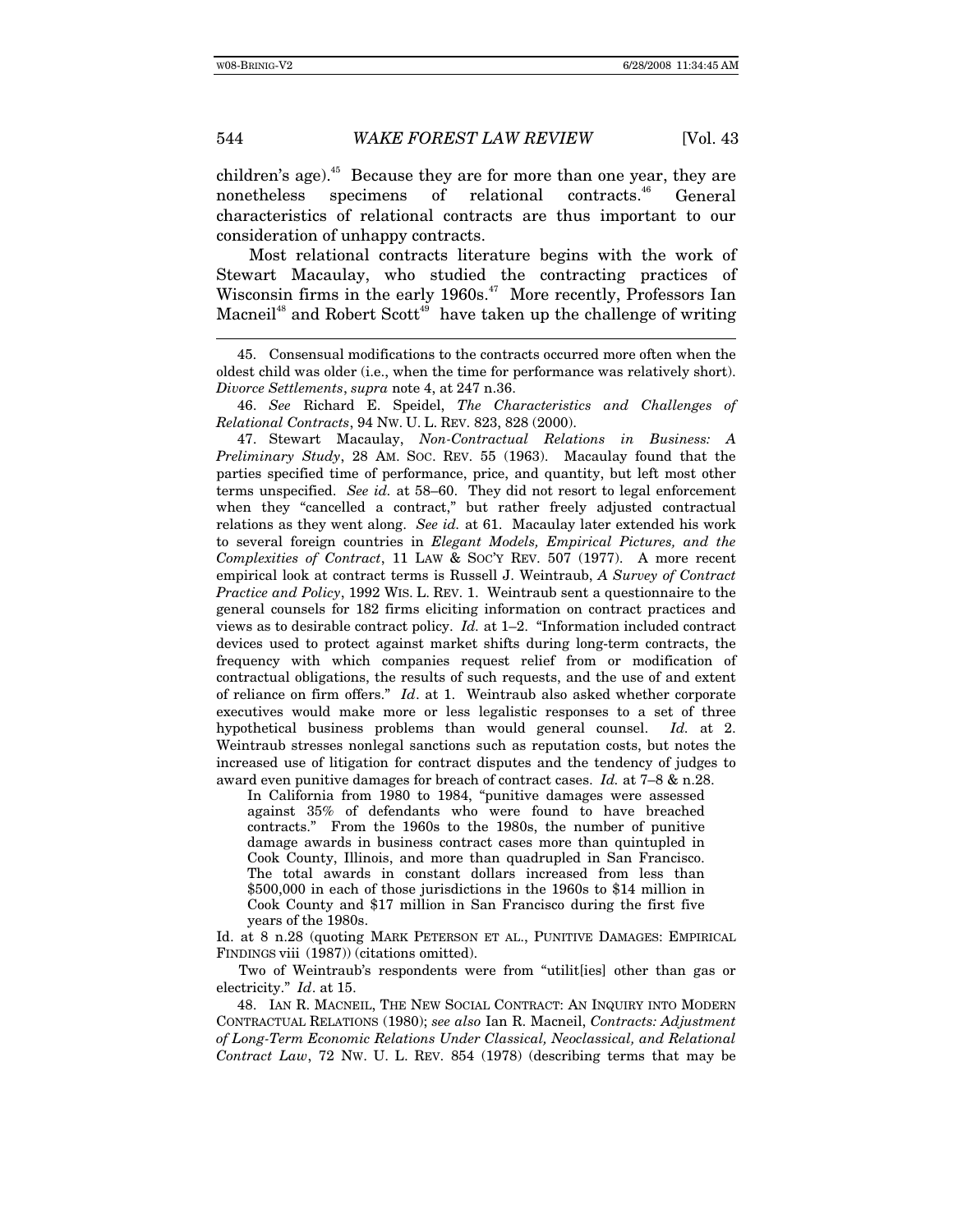1

544 *WAKE FOREST LAW REVIEW* [Vol. 43]

children's age).<sup>45</sup> Because they are for more than one year, they are nonetheless specimens of relational contracts.<sup>46</sup> General characteristics of relational contracts are thus important to our consideration of unhappy contracts.

Most relational contracts literature begins with the work of Stewart Macaulay, who studied the contracting practices of Wisconsin firms in the early  $1960s^{47}$  More recently, Professors Ian Macneil<sup>48</sup> and Robert Scott<sup>49</sup> have taken up the challenge of writing

 47. Stewart Macaulay, *Non-Contractual Relations in Business: A Preliminary Study*, 28 AM. SOC. REV. 55 (1963). Macaulay found that the parties specified time of performance, price, and quantity, but left most other terms unspecified. *See id.* at 58–60. They did not resort to legal enforcement when they "cancelled a contract," but rather freely adjusted contractual relations as they went along. *See id.* at 61. Macaulay later extended his work to several foreign countries in *Elegant Models, Empirical Pictures, and the Complexities of Contract*, 11 LAW & SOC'Y REV. 507 (1977). A more recent empirical look at contract terms is Russell J. Weintraub, *A Survey of Contract Practice and Policy*, 1992 WIS. L. REV. 1. Weintraub sent a questionnaire to the general counsels for 182 firms eliciting information on contract practices and views as to desirable contract policy. *Id.* at 1–2. "Information included contract devices used to protect against market shifts during long-term contracts, the frequency with which companies request relief from or modification of contractual obligations, the results of such requests, and the use of and extent of reliance on firm offers." *Id*. at 1. Weintraub also asked whether corporate executives would make more or less legalistic responses to a set of three hypothetical business problems than would general counsel. *Id.* at 2. Weintraub stresses nonlegal sanctions such as reputation costs, but notes the increased use of litigation for contract disputes and the tendency of judges to award even punitive damages for breach of contract cases. *Id.* at 7–8 & n.28.

In California from 1980 to 1984, "punitive damages were assessed against 35% of defendants who were found to have breached contracts." From the 1960s to the 1980s, the number of punitive damage awards in business contract cases more than quintupled in Cook County, Illinois, and more than quadrupled in San Francisco. The total awards in constant dollars increased from less than \$500,000 in each of those jurisdictions in the 1960s to \$14 million in Cook County and \$17 million in San Francisco during the first five years of the 1980s.

Id. at 8 n.28 (quoting MARK PETERSON ET AL., PUNITIVE DAMAGES: EMPIRICAL FINDINGS viii (1987)) (citations omitted).

Two of Weintraub's respondents were from "utilit[ies] other than gas or electricity." *Id*. at 15.

 48. IAN R. MACNEIL, THE NEW SOCIAL CONTRACT: AN INQUIRY INTO MODERN CONTRACTUAL RELATIONS (1980); *see also* Ian R. Macneil, *Contracts: Adjustment of Long-Term Economic Relations Under Classical, Neoclassical, and Relational Contract Law*, 72 NW. U. L. REV. 854 (1978) (describing terms that may be

 <sup>45.</sup> Consensual modifications to the contracts occurred more often when the oldest child was older (i.e., when the time for performance was relatively short). *Divorce Settlements*, *supra* note 4, at 247 n.36.

 <sup>46.</sup> *See* Richard E. Speidel, *The Characteristics and Challenges of Relational Contracts*, 94 NW. U. L. REV. 823, 828 (2000).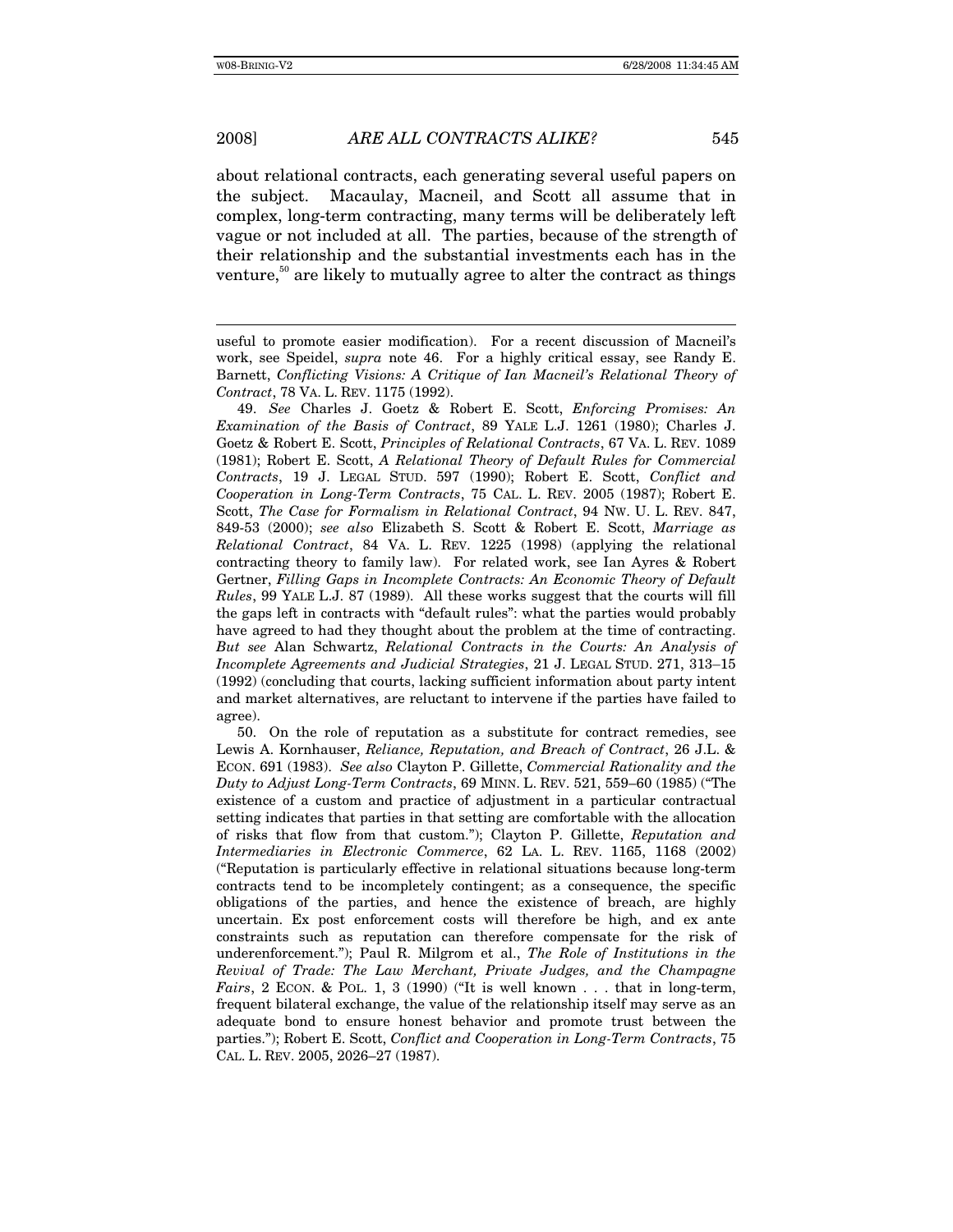1

### 2008] *ARE ALL CONTRACTS ALIKE?* 545

about relational contracts, each generating several useful papers on the subject. Macaulay, Macneil, and Scott all assume that in complex, long-term contracting, many terms will be deliberately left vague or not included at all. The parties, because of the strength of their relationship and the substantial investments each has in the venture, $50$  are likely to mutually agree to alter the contract as things

 49. *See* Charles J. Goetz & Robert E. Scott, *Enforcing Promises: An Examination of the Basis of Contract*, 89 YALE L.J. 1261 (1980); Charles J. Goetz & Robert E. Scott, *Principles of Relational Contracts*, 67 VA. L. REV. 1089 (1981); Robert E. Scott, *A Relational Theory of Default Rules for Commercial Contracts*, 19 J. LEGAL STUD. 597 (1990); Robert E. Scott, *Conflict and Cooperation in Long-Term Contracts*, 75 CAL. L. REV. 2005 (1987); Robert E. Scott, *The Case for Formalism in Relational Contract*, 94 NW. U. L. REV. 847, 849-53 (2000); *see also* Elizabeth S. Scott & Robert E. Scott, *Marriage as Relational Contract*, 84 VA. L. REV. 1225 (1998) (applying the relational contracting theory to family law). For related work, see Ian Ayres & Robert Gertner, *Filling Gaps in Incomplete Contracts: An Economic Theory of Default Rules*, 99 YALE L.J. 87 (1989). All these works suggest that the courts will fill the gaps left in contracts with "default rules": what the parties would probably have agreed to had they thought about the problem at the time of contracting. *But see* Alan Schwartz, *Relational Contracts in the Courts: An Analysis of Incomplete Agreements and Judicial Strategies*, 21 J. LEGAL STUD. 271, 313–15 (1992) (concluding that courts, lacking sufficient information about party intent and market alternatives, are reluctant to intervene if the parties have failed to agree).

 50. On the role of reputation as a substitute for contract remedies, see Lewis A. Kornhauser, *Reliance, Reputation, and Breach of Contract*, 26 J.L. & ECON. 691 (1983). *See also* Clayton P. Gillette, *Commercial Rationality and the Duty to Adjust Long-Term Contracts*, 69 MINN. L. REV. 521, 559–60 (1985) ("The existence of a custom and practice of adjustment in a particular contractual setting indicates that parties in that setting are comfortable with the allocation of risks that flow from that custom."); Clayton P. Gillette, *Reputation and Intermediaries in Electronic Commerce*, 62 LA. L. REV. 1165, 1168 (2002) ("Reputation is particularly effective in relational situations because long-term contracts tend to be incompletely contingent; as a consequence, the specific obligations of the parties, and hence the existence of breach, are highly uncertain. Ex post enforcement costs will therefore be high, and ex ante constraints such as reputation can therefore compensate for the risk of underenforcement."); Paul R. Milgrom et al., *The Role of Institutions in the Revival of Trade: The Law Merchant, Private Judges, and the Champagne Fairs*, 2 ECON. & POL. 1, 3 (1990) ("It is well known . . . that in long-term, frequent bilateral exchange, the value of the relationship itself may serve as an adequate bond to ensure honest behavior and promote trust between the parties."); Robert E. Scott, *Conflict and Cooperation in Long-Term Contracts*, 75 CAL. L. REV. 2005, 2026–27 (1987).

useful to promote easier modification). For a recent discussion of Macneil's work, see Speidel, *supra* note 46. For a highly critical essay, see Randy E. Barnett, *Conflicting Visions: A Critique of Ian Macneil's Relational Theory of Contract*, 78 VA. L. REV. 1175 (1992).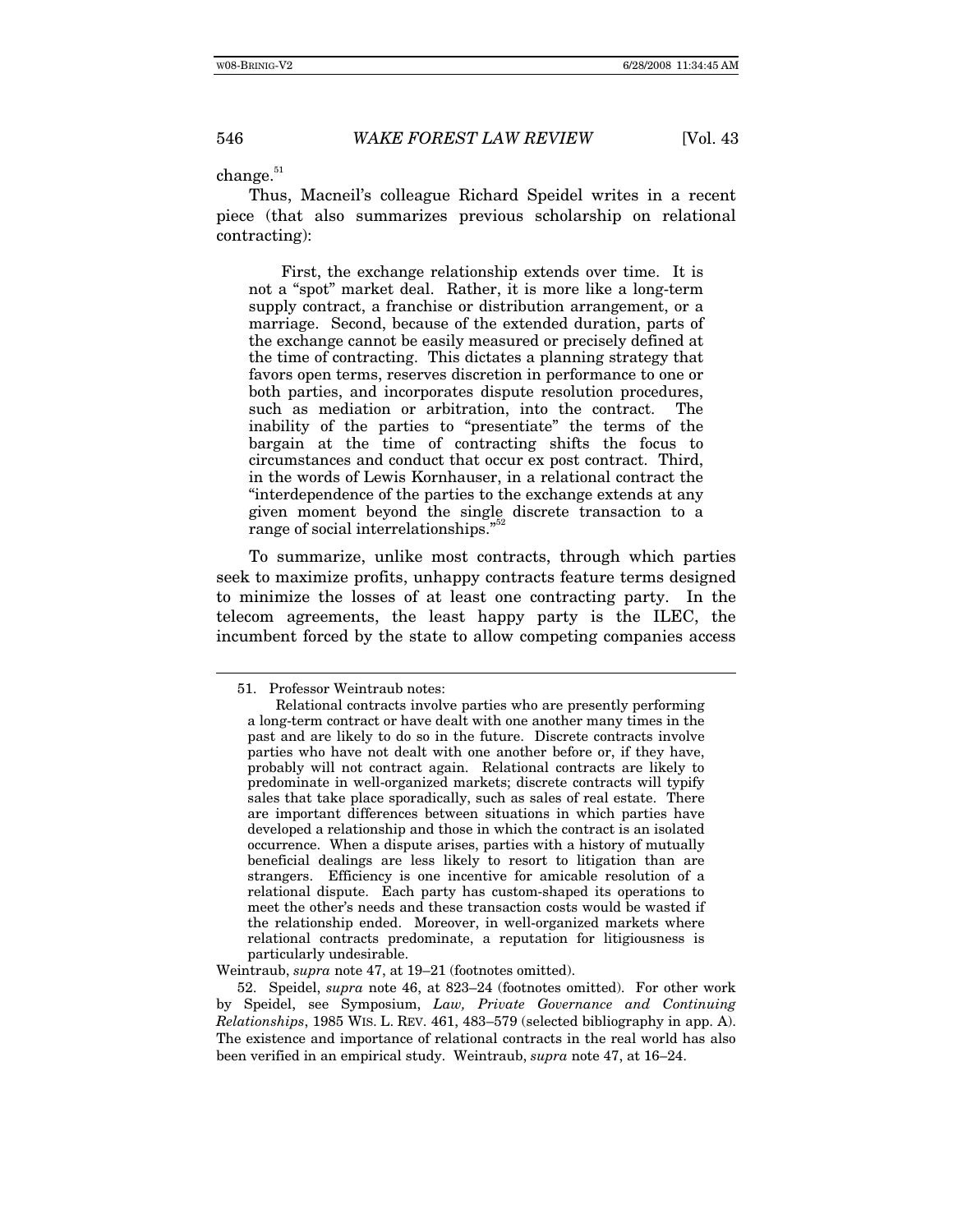546 *WAKE FOREST LAW REVIEW* [Vol. 43]

 $change.<sup>51</sup>$ 

Thus, Macneil's colleague Richard Speidel writes in a recent piece (that also summarizes previous scholarship on relational contracting):

First, the exchange relationship extends over time. It is not a "spot" market deal. Rather, it is more like a long-term supply contract, a franchise or distribution arrangement, or a marriage. Second, because of the extended duration, parts of the exchange cannot be easily measured or precisely defined at the time of contracting. This dictates a planning strategy that favors open terms, reserves discretion in performance to one or both parties, and incorporates dispute resolution procedures, such as mediation or arbitration, into the contract. The inability of the parties to "presentiate" the terms of the bargain at the time of contracting shifts the focus to circumstances and conduct that occur ex post contract. Third, in the words of Lewis Kornhauser, in a relational contract the "interdependence of the parties to the exchange extends at any given moment beyond the single discrete transaction to a range of social interrelationships."

To summarize, unlike most contracts, through which parties seek to maximize profits, unhappy contracts feature terms designed to minimize the losses of at least one contracting party. In the telecom agreements, the least happy party is the ILEC, the incumbent forced by the state to allow competing companies access

Weintraub, *supra* note 47, at 19–21 (footnotes omitted).

 52. Speidel, *supra* note 46, at 823–24 (footnotes omitted). For other work by Speidel, see Symposium, *Law, Private Governance and Continuing Relationships*, 1985 WIS. L. REV. 461, 483–579 (selected bibliography in app. A). The existence and importance of relational contracts in the real world has also been verified in an empirical study. Weintraub, *supra* note 47, at 16–24.

 <sup>51.</sup> Professor Weintraub notes:

Relational contracts involve parties who are presently performing a long-term contract or have dealt with one another many times in the past and are likely to do so in the future. Discrete contracts involve parties who have not dealt with one another before or, if they have, probably will not contract again. Relational contracts are likely to predominate in well-organized markets; discrete contracts will typify sales that take place sporadically, such as sales of real estate. There are important differences between situations in which parties have developed a relationship and those in which the contract is an isolated occurrence. When a dispute arises, parties with a history of mutually beneficial dealings are less likely to resort to litigation than are strangers. Efficiency is one incentive for amicable resolution of a relational dispute. Each party has custom-shaped its operations to meet the other's needs and these transaction costs would be wasted if the relationship ended. Moreover, in well-organized markets where relational contracts predominate, a reputation for litigiousness is particularly undesirable.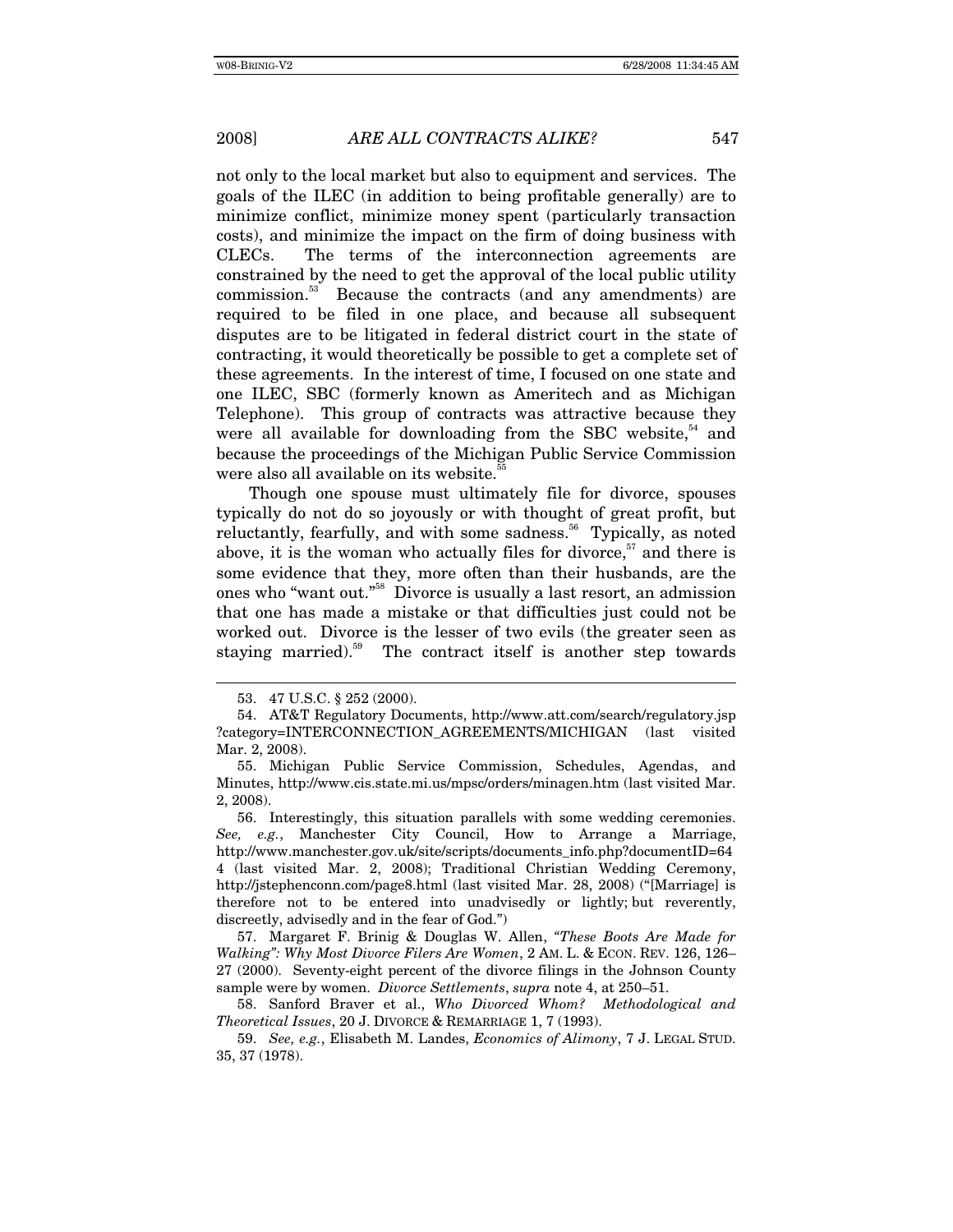not only to the local market but also to equipment and services. The goals of the ILEC (in addition to being profitable generally) are to minimize conflict, minimize money spent (particularly transaction costs), and minimize the impact on the firm of doing business with CLECs. The terms of the interconnection agreements are constrained by the need to get the approval of the local public utility commission.<sup>53</sup> Because the contracts (and any amendments) are required to be filed in one place, and because all subsequent disputes are to be litigated in federal district court in the state of contracting, it would theoretically be possible to get a complete set of these agreements. In the interest of time, I focused on one state and one ILEC, SBC (formerly known as Ameritech and as Michigan Telephone). This group of contracts was attractive because they were all available for downloading from the SBC website, $54$  and because the proceedings of the Michigan Public Service Commission were also all available on its website.<sup>5</sup>

Though one spouse must ultimately file for divorce, spouses typically do not do so joyously or with thought of great profit, but reluctantly, fearfully, and with some sadness.<sup>56</sup> Typically, as noted above, it is the woman who actually files for divorce, $57$  and there is some evidence that they, more often than their husbands, are the ones who "want out."58 Divorce is usually a last resort, an admission that one has made a mistake or that difficulties just could not be worked out. Divorce is the lesser of two evils (the greater seen as staying married).<sup>59</sup> The contract itself is another step towards

 <sup>53. 47</sup> U.S.C. § 252 (2000).

 <sup>54.</sup> AT&T Regulatory Documents, http://www.att.com/search/regulatory.jsp ?category=INTERCONNECTION\_AGREEMENTS/MICHIGAN (last visited Mar. 2, 2008).

 <sup>55.</sup> Michigan Public Service Commission, Schedules, Agendas, and Minutes, http://www.cis.state.mi.us/mpsc/orders/minagen.htm (last visited Mar. 2, 2008).

 <sup>56.</sup> Interestingly, this situation parallels with some wedding ceremonies. *See, e.g.*, Manchester City Council, How to Arrange a Marriage, http://www.manchester.gov.uk/site/scripts/documents\_info.php?documentID=64 4 (last visited Mar. 2, 2008); Traditional Christian Wedding Ceremony, http://jstephenconn.com/page8.html (last visited Mar. 28, 2008) ("[Marriage] is therefore not to be entered into unadvisedly or lightly; but reverently, discreetly, advisedly and in the fear of God.")

 <sup>57.</sup> Margaret F. Brinig & Douglas W. Allen, *"These Boots Are Made for Walking": Why Most Divorce Filers Are Women*, 2 AM. L. & ECON. REV. 126, 126– 27 (2000). Seventy-eight percent of the divorce filings in the Johnson County sample were by women. *Divorce Settlements*, *supra* note 4, at 250–51.

 <sup>58.</sup> Sanford Braver et al., *Who Divorced Whom? Methodological and Theoretical Issues*, 20 J. DIVORCE & REMARRIAGE 1, 7 (1993).

 <sup>59.</sup> *See, e.g.*, Elisabeth M. Landes, *Economics of Alimony*, 7 J. LEGAL STUD. 35, 37 (1978).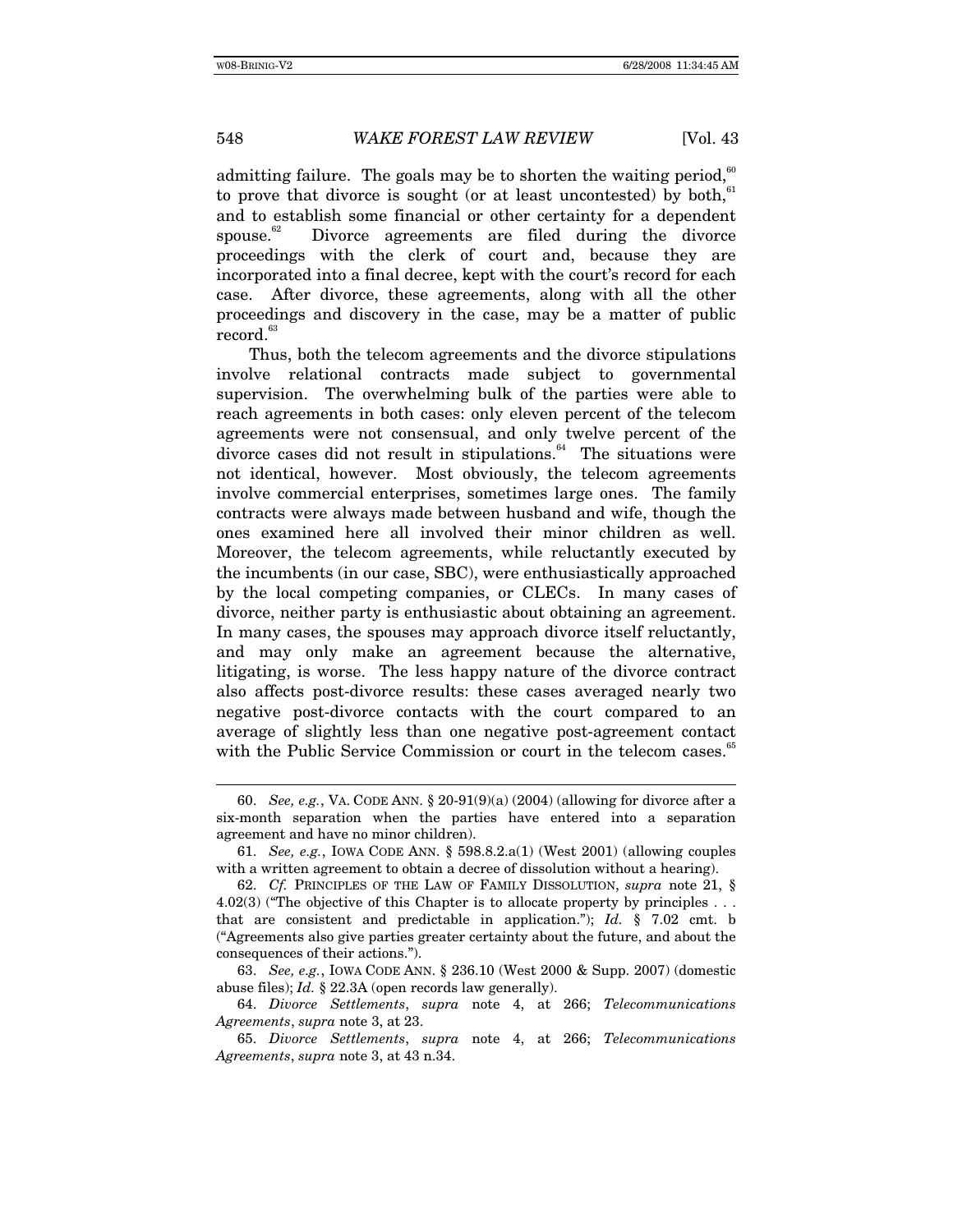# 548 *WAKE FOREST LAW REVIEW* [Vol. 43]

admitting failure. The goals may be to shorten the waiting period, $60$ to prove that divorce is sought (or at least uncontested) by both, $61$ and to establish some financial or other certainty for a dependent spouse.<sup>62</sup> Divorce agreements are filed during the divorce proceedings with the clerk of court and, because they are incorporated into a final decree, kept with the court's record for each case. After divorce, these agreements, along with all the other proceedings and discovery in the case, may be a matter of public record.<sup>63</sup>

Thus, both the telecom agreements and the divorce stipulations involve relational contracts made subject to governmental supervision. The overwhelming bulk of the parties were able to reach agreements in both cases: only eleven percent of the telecom agreements were not consensual, and only twelve percent of the divorce cases did not result in stipulations. $64$  The situations were not identical, however. Most obviously, the telecom agreements involve commercial enterprises, sometimes large ones. The family contracts were always made between husband and wife, though the ones examined here all involved their minor children as well. Moreover, the telecom agreements, while reluctantly executed by the incumbents (in our case, SBC), were enthusiastically approached by the local competing companies, or CLECs. In many cases of divorce, neither party is enthusiastic about obtaining an agreement. In many cases, the spouses may approach divorce itself reluctantly, and may only make an agreement because the alternative, litigating, is worse. The less happy nature of the divorce contract also affects post-divorce results: these cases averaged nearly two negative post-divorce contacts with the court compared to an average of slightly less than one negative post-agreement contact with the Public Service Commission or court in the telecom cases.<sup>65</sup>

 <sup>60.</sup> *See, e.g.*, VA. CODE ANN. § 20-91(9)(a) (2004) (allowing for divorce after a six-month separation when the parties have entered into a separation agreement and have no minor children).

 <sup>61.</sup> *See, e.g.*, IOWA CODE ANN. § 598.8.2.a(1) (West 2001) (allowing couples with a written agreement to obtain a decree of dissolution without a hearing).

 <sup>62.</sup> *Cf.* PRINCIPLES OF THE LAW OF FAMILY DISSOLUTION, *supra* note 21, §  $4.02(3)$  ("The objective of this Chapter is to allocate property by principles ... that are consistent and predictable in application."); *Id.* § 7.02 cmt. b ("Agreements also give parties greater certainty about the future, and about the consequences of their actions.").

 <sup>63.</sup> *See, e.g.*, IOWA CODE ANN. § 236.10 (West 2000 & Supp. 2007) (domestic abuse files); *Id.* § 22.3A (open records law generally).

 <sup>64.</sup> *Divorce Settlements*, *supra* note 4, at 266; *Telecommunications Agreements*, *supra* note 3, at 23.

 <sup>65.</sup> *Divorce Settlements*, *supra* note 4, at 266; *Telecommunications Agreements*, *supra* note 3, at 43 n.34.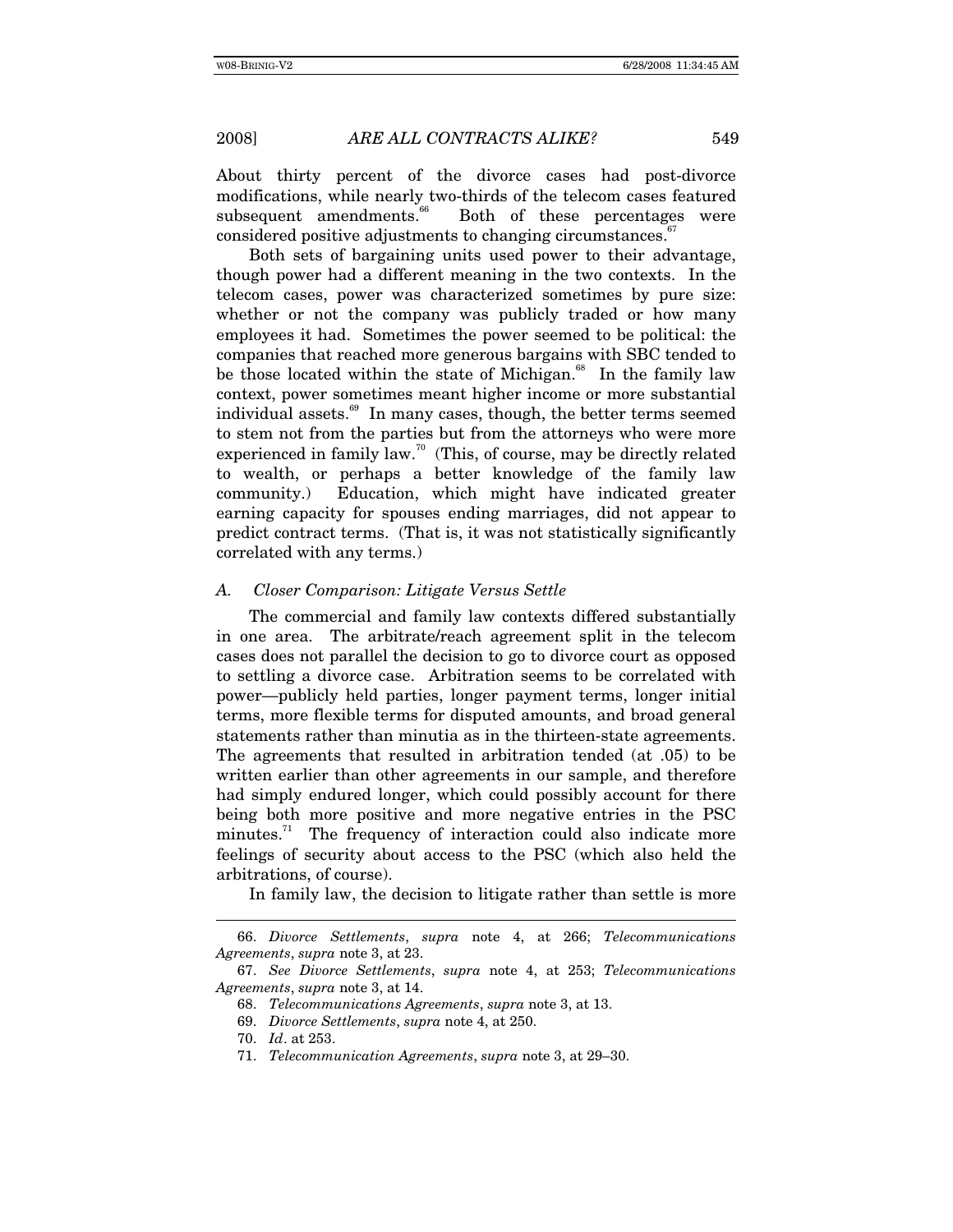About thirty percent of the divorce cases had post-divorce modifications, while nearly two-thirds of the telecom cases featured subsequent amendments.<sup>66</sup> Both of these percentages were considered positive adjustments to changing circumstances.<sup>67</sup>

Both sets of bargaining units used power to their advantage, though power had a different meaning in the two contexts. In the telecom cases, power was characterized sometimes by pure size: whether or not the company was publicly traded or how many employees it had. Sometimes the power seemed to be political: the companies that reached more generous bargains with SBC tended to be those located within the state of Michigan.<sup>68</sup> In the family law context, power sometimes meant higher income or more substantial individual assets.<sup>69</sup> In many cases, though, the better terms seemed to stem not from the parties but from the attorneys who were more experienced in family law.<sup>70</sup> (This, of course, may be directly related to wealth, or perhaps a better knowledge of the family law community.) Education, which might have indicated greater earning capacity for spouses ending marriages, did not appear to predict contract terms. (That is, it was not statistically significantly correlated with any terms.)

### *A. Closer Comparison: Litigate Versus Settle*

The commercial and family law contexts differed substantially in one area. The arbitrate/reach agreement split in the telecom cases does not parallel the decision to go to divorce court as opposed to settling a divorce case. Arbitration seems to be correlated with power—publicly held parties, longer payment terms, longer initial terms, more flexible terms for disputed amounts, and broad general statements rather than minutia as in the thirteen-state agreements. The agreements that resulted in arbitration tended (at .05) to be written earlier than other agreements in our sample, and therefore had simply endured longer, which could possibly account for there being both more positive and more negative entries in the PSC minutes.<sup>71</sup> The frequency of interaction could also indicate more feelings of security about access to the PSC (which also held the arbitrations, of course).

In family law, the decision to litigate rather than settle is more

 <sup>66.</sup> *Divorce Settlements*, *supra* note 4, at 266; *Telecommunications Agreements*, *supra* note 3, at 23.

 <sup>67.</sup> *See Divorce Settlements*, *supra* note 4, at 253; *Telecommunications Agreements*, *supra* note 3, at 14.

 <sup>68.</sup> *Telecommunications Agreements*, *supra* note 3, at 13.

 <sup>69.</sup> *Divorce Settlements*, *supra* note 4, at 250.

 <sup>70.</sup> *Id*. at 253.

 <sup>71.</sup> *Telecommunication Agreements*, *supra* note 3, at 29–30.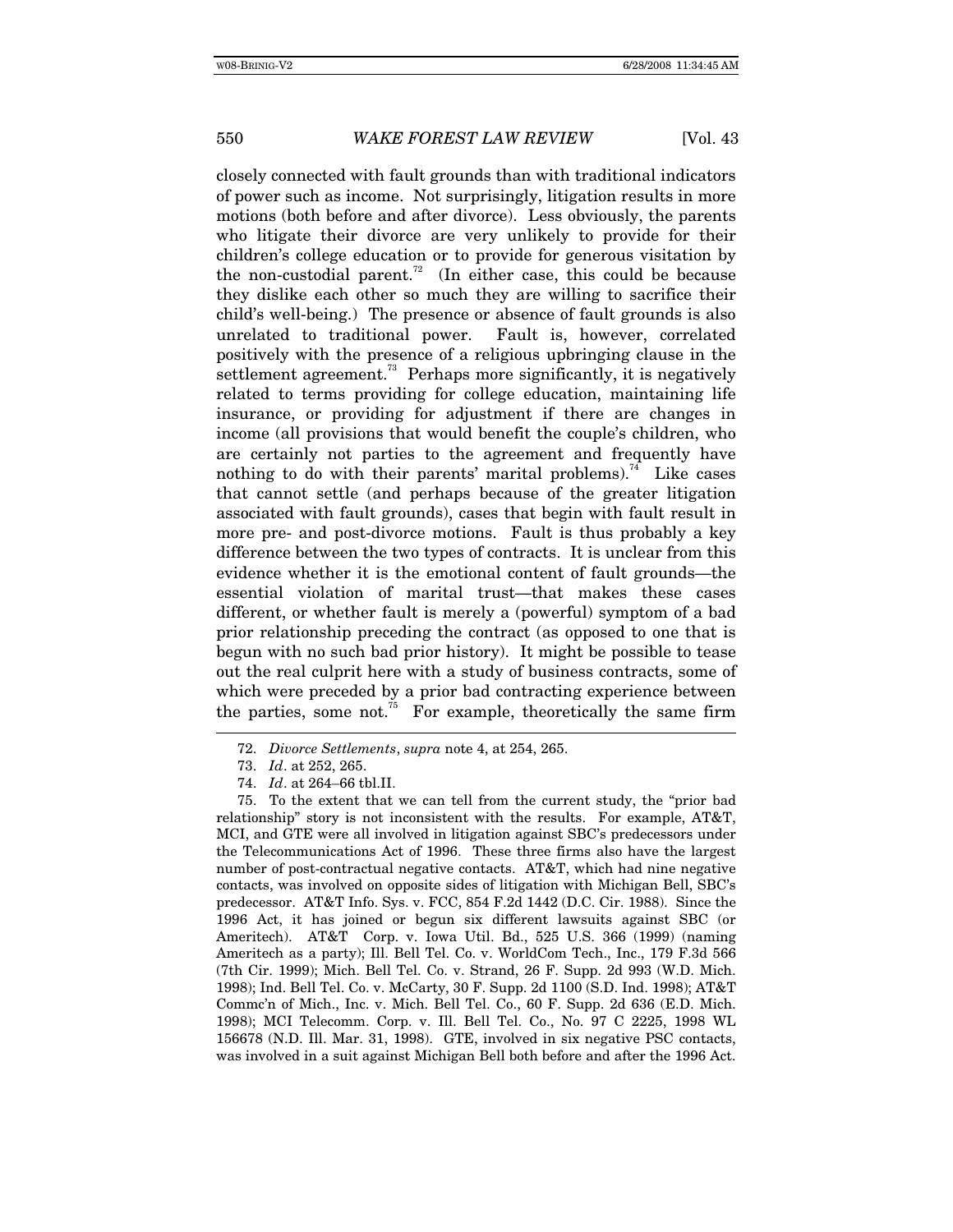## 550 *WAKE FOREST LAW REVIEW* [Vol. 43]

closely connected with fault grounds than with traditional indicators of power such as income. Not surprisingly, litigation results in more motions (both before and after divorce). Less obviously, the parents who litigate their divorce are very unlikely to provide for their children's college education or to provide for generous visitation by the non-custodial parent.<sup>72</sup> (In either case, this could be because they dislike each other so much they are willing to sacrifice their child's well-being.) The presence or absence of fault grounds is also unrelated to traditional power. Fault is, however, correlated positively with the presence of a religious upbringing clause in the settlement agreement.<sup>73</sup> Perhaps more significantly, it is negatively related to terms providing for college education, maintaining life insurance, or providing for adjustment if there are changes in income (all provisions that would benefit the couple's children, who are certainly not parties to the agreement and frequently have nothing to do with their parents' marital problems).<sup>74</sup> Like cases that cannot settle (and perhaps because of the greater litigation associated with fault grounds), cases that begin with fault result in more pre- and post-divorce motions. Fault is thus probably a key difference between the two types of contracts. It is unclear from this evidence whether it is the emotional content of fault grounds—the essential violation of marital trust—that makes these cases different, or whether fault is merely a (powerful) symptom of a bad prior relationship preceding the contract (as opposed to one that is begun with no such bad prior history). It might be possible to tease out the real culprit here with a study of business contracts, some of which were preceded by a prior bad contracting experience between the parties, some not.<sup>75</sup> For example, theoretically the same firm

 <sup>72.</sup> *Divorce Settlements*, *supra* note 4, at 254, 265.

 <sup>73.</sup> *Id*. at 252, 265.

 <sup>74.</sup> *Id*. at 264–66 tbl.II.

 <sup>75.</sup> To the extent that we can tell from the current study, the "prior bad relationship" story is not inconsistent with the results. For example, AT&T, MCI, and GTE were all involved in litigation against SBC's predecessors under the Telecommunications Act of 1996. These three firms also have the largest number of post-contractual negative contacts. AT&T, which had nine negative contacts, was involved on opposite sides of litigation with Michigan Bell, SBC's predecessor. AT&T Info. Sys. v. FCC, 854 F.2d 1442 (D.C. Cir. 1988). Since the 1996 Act, it has joined or begun six different lawsuits against SBC (or Ameritech). AT&T Corp. v. Iowa Util. Bd., 525 U.S. 366 (1999) (naming Ameritech as a party); Ill. Bell Tel. Co. v. WorldCom Tech., Inc., 179 F.3d 566 (7th Cir. 1999); Mich. Bell Tel. Co. v. Strand, 26 F. Supp. 2d 993 (W.D. Mich. 1998); Ind. Bell Tel. Co. v. McCarty, 30 F. Supp. 2d 1100 (S.D. Ind. 1998); AT&T Commc'n of Mich., Inc. v. Mich. Bell Tel. Co., 60 F. Supp. 2d 636 (E.D. Mich. 1998); MCI Telecomm. Corp. v. Ill. Bell Tel. Co., No. 97 C 2225, 1998 WL 156678 (N.D. Ill. Mar. 31, 1998). GTE, involved in six negative PSC contacts, was involved in a suit against Michigan Bell both before and after the 1996 Act.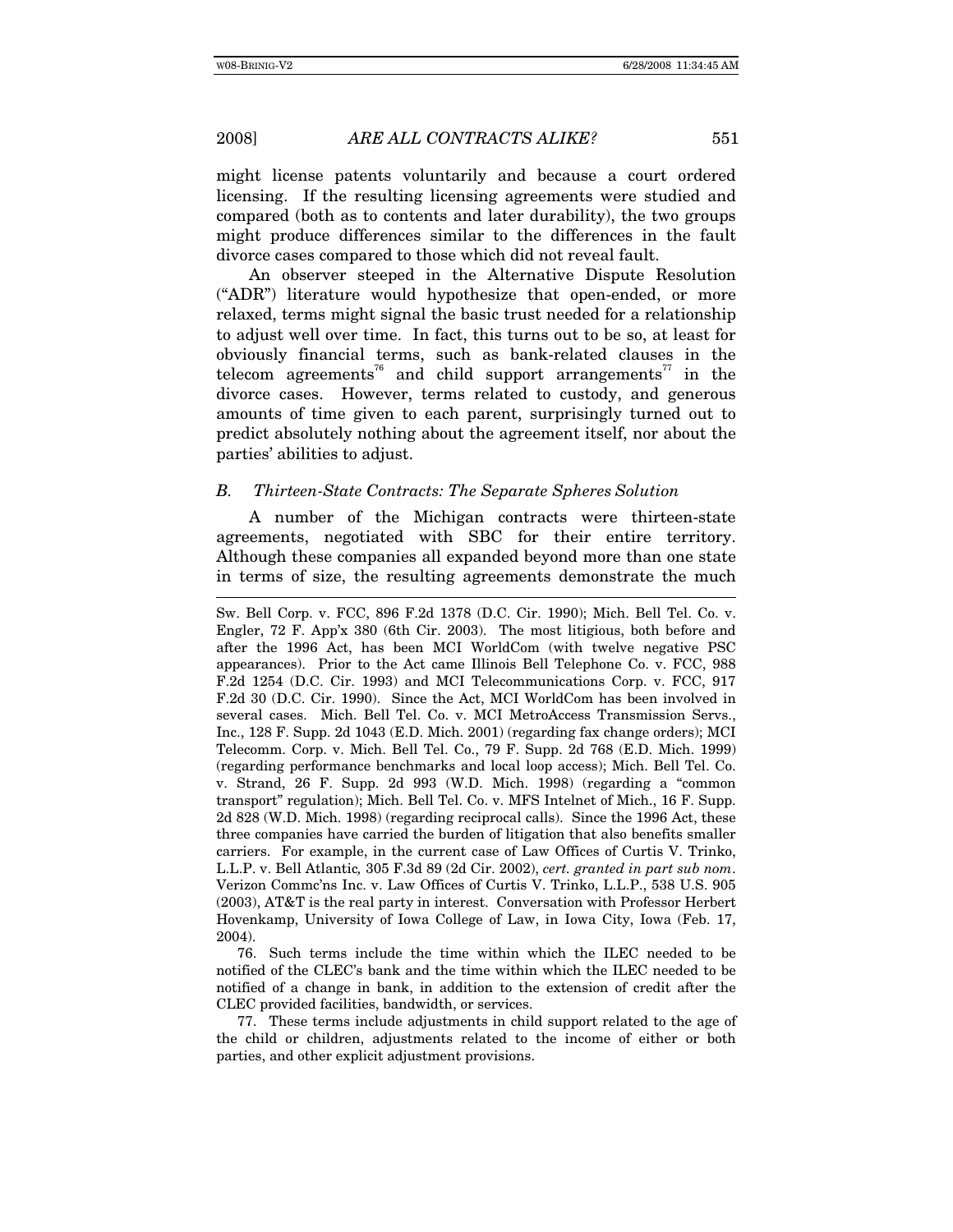1

## 2008] *ARE ALL CONTRACTS ALIKE?* 551

might license patents voluntarily and because a court ordered licensing. If the resulting licensing agreements were studied and compared (both as to contents and later durability), the two groups might produce differences similar to the differences in the fault divorce cases compared to those which did not reveal fault.

An observer steeped in the Alternative Dispute Resolution ("ADR") literature would hypothesize that open-ended, or more relaxed, terms might signal the basic trust needed for a relationship to adjust well over time. In fact, this turns out to be so, at least for obviously financial terms, such as bank-related clauses in the telecom agreements<sup>76</sup> and child support arrangements<sup>77</sup> in the divorce cases. However, terms related to custody, and generous amounts of time given to each parent, surprisingly turned out to predict absolutely nothing about the agreement itself, nor about the parties' abilities to adjust.

### *B. Thirteen-State Contracts: The Separate Spheres Solution*

A number of the Michigan contracts were thirteen-state agreements, negotiated with SBC for their entire territory. Although these companies all expanded beyond more than one state in terms of size, the resulting agreements demonstrate the much

 76. Such terms include the time within which the ILEC needed to be notified of the CLEC's bank and the time within which the ILEC needed to be notified of a change in bank, in addition to the extension of credit after the CLEC provided facilities, bandwidth, or services.

 77. These terms include adjustments in child support related to the age of the child or children, adjustments related to the income of either or both parties, and other explicit adjustment provisions.

Sw. Bell Corp. v. FCC, 896 F.2d 1378 (D.C. Cir. 1990); Mich. Bell Tel. Co. v. Engler, 72 F. App'x 380 (6th Cir. 2003). The most litigious, both before and after the 1996 Act, has been MCI WorldCom (with twelve negative PSC appearances). Prior to the Act came Illinois Bell Telephone Co. v. FCC, 988 F.2d 1254 (D.C. Cir. 1993) and MCI Telecommunications Corp. v. FCC, 917 F.2d 30 (D.C. Cir. 1990). Since the Act, MCI WorldCom has been involved in several cases. Mich. Bell Tel. Co. v. MCI MetroAccess Transmission Servs., Inc., 128 F. Supp. 2d 1043 (E.D. Mich. 2001) (regarding fax change orders); MCI Telecomm. Corp. v. Mich. Bell Tel. Co., 79 F. Supp. 2d 768 (E.D. Mich. 1999) (regarding performance benchmarks and local loop access); Mich. Bell Tel. Co. v. Strand, 26 F. Supp. 2d 993 (W.D. Mich. 1998) (regarding a "common transport" regulation); Mich. Bell Tel. Co. v. MFS Intelnet of Mich., 16 F. Supp. 2d 828 (W.D. Mich. 1998) (regarding reciprocal calls). Since the 1996 Act, these three companies have carried the burden of litigation that also benefits smaller carriers. For example, in the current case of Law Offices of Curtis V. Trinko, L.L.P. v. Bell Atlantic*,* 305 F.3d 89 (2d Cir. 2002), *cert. granted in part sub nom*. Verizon Commc'ns Inc. v. Law Offices of Curtis V. Trinko, L.L.P., 538 U.S. 905 (2003), AT&T is the real party in interest. Conversation with Professor Herbert Hovenkamp, University of Iowa College of Law, in Iowa City, Iowa (Feb. 17, 2004).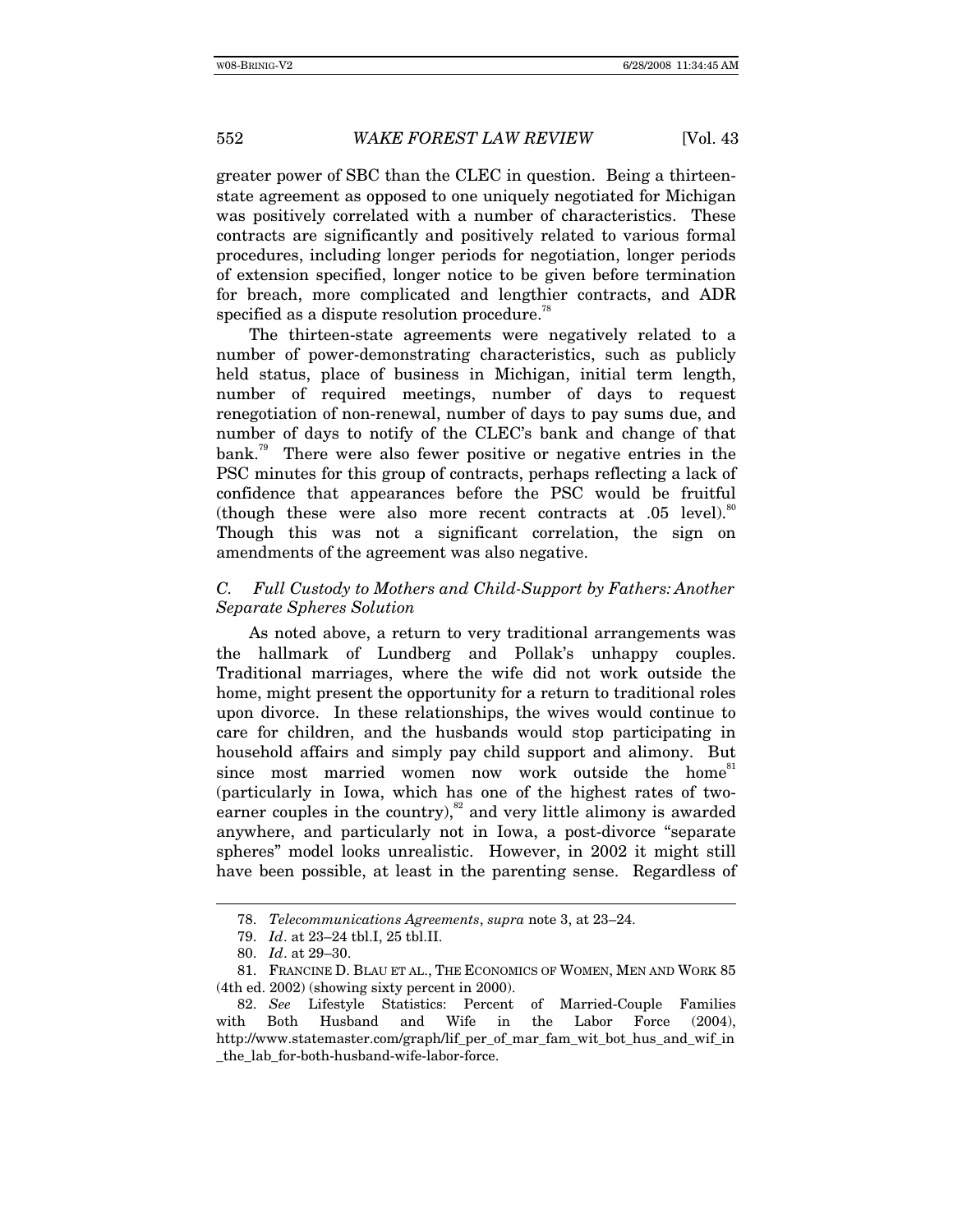## 552 *WAKE FOREST LAW REVIEW* [Vol. 43

greater power of SBC than the CLEC in question. Being a thirteenstate agreement as opposed to one uniquely negotiated for Michigan was positively correlated with a number of characteristics. These contracts are significantly and positively related to various formal procedures, including longer periods for negotiation, longer periods of extension specified, longer notice to be given before termination for breach, more complicated and lengthier contracts, and ADR specified as a dispute resolution procedure.<sup>78</sup>

The thirteen-state agreements were negatively related to a number of power-demonstrating characteristics, such as publicly held status, place of business in Michigan, initial term length, number of required meetings, number of days to request renegotiation of non-renewal, number of days to pay sums due, and number of days to notify of the CLEC's bank and change of that bank.79 There were also fewer positive or negative entries in the PSC minutes for this group of contracts, perhaps reflecting a lack of confidence that appearances before the PSC would be fruitful (though these were also more recent contracts at  $.05$  level).<sup>80</sup> Though this was not a significant correlation, the sign on amendments of the agreement was also negative.

## *C. Full Custody to Mothers and Child-Support by Fathers: Another Separate Spheres Solution*

As noted above, a return to very traditional arrangements was the hallmark of Lundberg and Pollak's unhappy couples. Traditional marriages, where the wife did not work outside the home, might present the opportunity for a return to traditional roles upon divorce. In these relationships, the wives would continue to care for children, and the husbands would stop participating in household affairs and simply pay child support and alimony. But since most married women now work outside the home<sup>81</sup> (particularly in Iowa, which has one of the highest rates of twoearner couples in the country),<sup>82</sup> and very little alimony is awarded anywhere, and particularly not in Iowa, a post-divorce "separate spheres" model looks unrealistic. However, in 2002 it might still have been possible, at least in the parenting sense. Regardless of

 <sup>78.</sup> *Telecommunications Agreements*, *supra* note 3, at 23–24.

 <sup>79.</sup> *Id*. at 23–24 tbl.I, 25 tbl.II.

 <sup>80.</sup> *Id*. at 29–30.

 <sup>81.</sup> FRANCINE D. BLAU ET AL., THE ECONOMICS OF WOMEN, MEN AND WORK 85 (4th ed. 2002) (showing sixty percent in 2000).

 <sup>82.</sup> *See* Lifestyle Statistics: Percent of Married-Couple Families with Both Husband and Wife in the Labor Force (2004), http://www.statemaster.com/graph/lif\_per\_of\_mar\_fam\_wit\_bot\_hus\_and\_wif\_in \_the\_lab\_for-both-husband-wife-labor-force.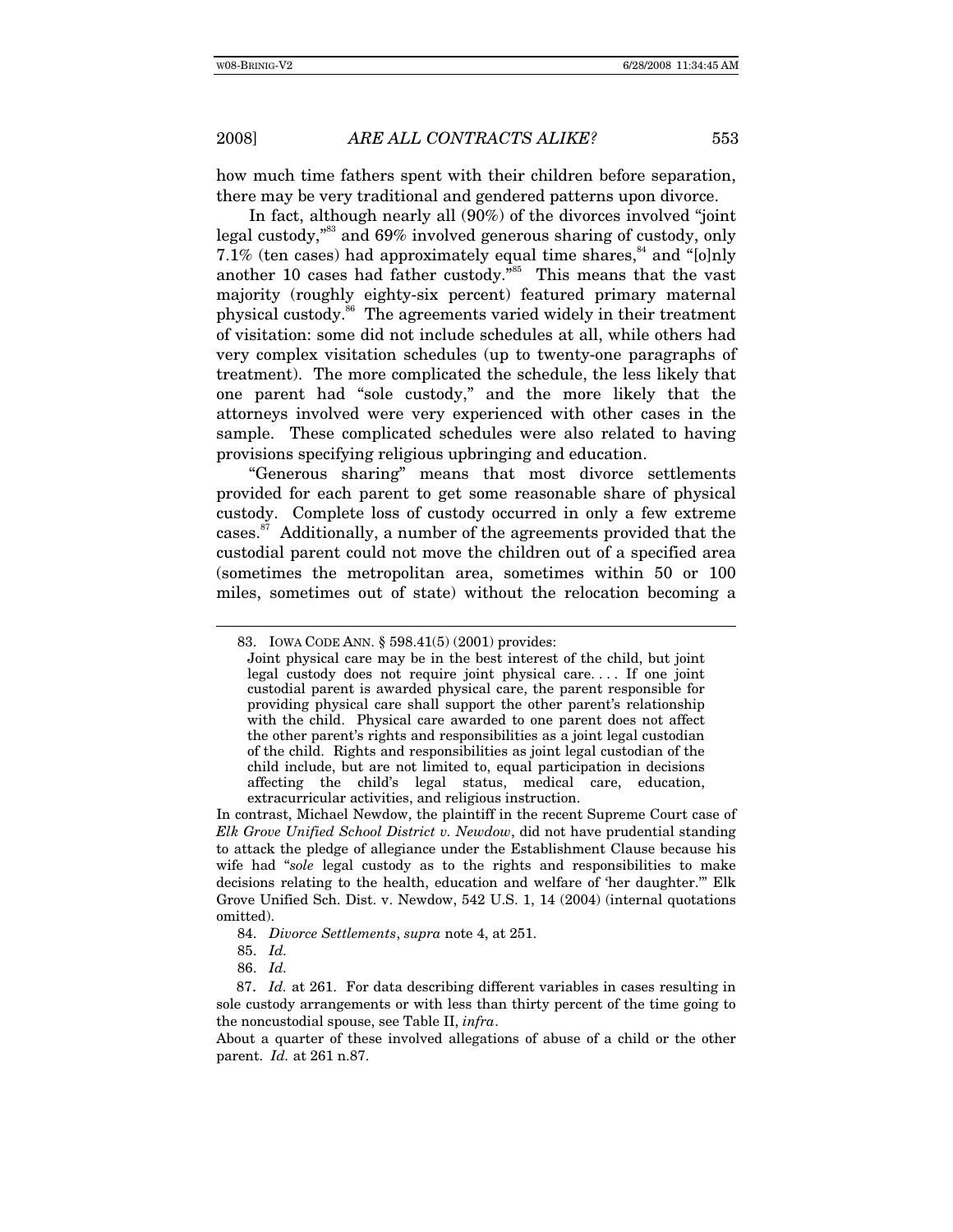how much time fathers spent with their children before separation, there may be very traditional and gendered patterns upon divorce.

In fact, although nearly all (90%) of the divorces involved "joint legal custody,<sup> $38$ </sup> and 69% involved generous sharing of custody, only 7.1% (ten cases) had approximately equal time shares,  $^{84}$  and "[o]nly another 10 cases had father custody. $\overline{555}$  This means that the vast majority (roughly eighty-six percent) featured primary maternal physical custody.<sup>86</sup> The agreements varied widely in their treatment of visitation: some did not include schedules at all, while others had very complex visitation schedules (up to twenty-one paragraphs of treatment). The more complicated the schedule, the less likely that one parent had "sole custody," and the more likely that the attorneys involved were very experienced with other cases in the sample. These complicated schedules were also related to having provisions specifying religious upbringing and education.

"Generous sharing" means that most divorce settlements provided for each parent to get some reasonable share of physical custody. Complete loss of custody occurred in only a few extreme cases.<sup>87</sup> Additionally, a number of the agreements provided that the custodial parent could not move the children out of a specified area (sometimes the metropolitan area, sometimes within 50 or 100 miles, sometimes out of state) without the relocation becoming a

In contrast, Michael Newdow, the plaintiff in the recent Supreme Court case of *Elk Grove Unified School District v. Newdow*, did not have prudential standing to attack the pledge of allegiance under the Establishment Clause because his wife had "*sole* legal custody as to the rights and responsibilities to make decisions relating to the health, education and welfare of 'her daughter.'" Elk Grove Unified Sch. Dist. v. Newdow, 542 U.S. 1, 14 (2004) (internal quotations omitted).

1

 <sup>83.</sup> IOWA CODE ANN. § 598.41(5) (2001) provides:

Joint physical care may be in the best interest of the child, but joint legal custody does not require joint physical care. . . . If one joint custodial parent is awarded physical care, the parent responsible for providing physical care shall support the other parent's relationship with the child. Physical care awarded to one parent does not affect the other parent's rights and responsibilities as a joint legal custodian of the child. Rights and responsibilities as joint legal custodian of the child include, but are not limited to, equal participation in decisions affecting the child's legal status, medical care, education, extracurricular activities, and religious instruction.

 <sup>84.</sup> *Divorce Settlements*, *supra* note 4, at 251.

 <sup>85.</sup> *Id.*

 <sup>86.</sup> *Id.*

<sup>87.</sup> *Id.* at 261. For data describing different variables in cases resulting in sole custody arrangements or with less than thirty percent of the time going to the noncustodial spouse, see Table II, *infra*.

About a quarter of these involved allegations of abuse of a child or the other parent. *Id.* at 261 n.87.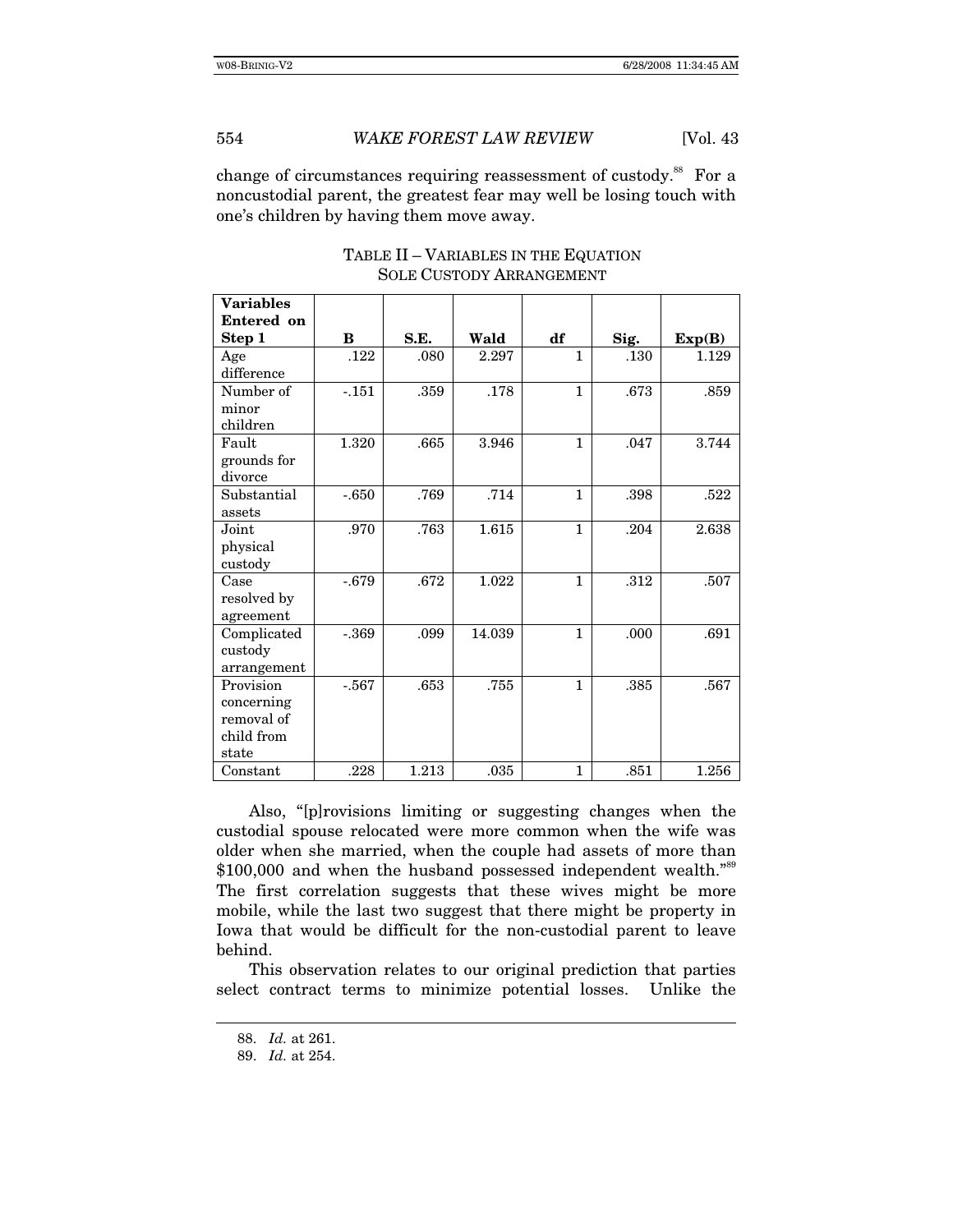554 *WAKE FOREST LAW REVIEW* [Vol. 43

change of circumstances requiring reassessment of custody.<sup>88</sup> For a noncustodial parent, the greatest fear may well be losing touch with one's children by having them move away.

| <b>Variables</b> |         |       |        |              |                   |        |
|------------------|---------|-------|--------|--------------|-------------------|--------|
| Entered on       |         |       |        |              |                   |        |
| Step 1           | B       | S.E.  | Wald   | df           | Sig.              | Exp(B) |
| Age              | .122    | .080  | 2.297  | 1            | .130              | 1.129  |
| difference       |         |       |        |              |                   |        |
| Number of        | $-.151$ | .359  | .178   | $\mathbf{1}$ | .673              | .859   |
| minor            |         |       |        |              |                   |        |
| children         |         |       |        |              |                   |        |
| Fault            | 1.320   | .665  | 3.946  | $\mathbf{1}$ | .047              | 3.744  |
| grounds for      |         |       |        |              |                   |        |
| divorce          |         |       |        |              |                   |        |
| Substantial      | $-.650$ | .769  | .714   | $\mathbf{1}$ | .398              | .522   |
| assets           |         |       |        |              |                   |        |
| Joint            | .970    | .763  | 1.615  | $\mathbf{1}$ | .204              | 2.638  |
| physical         |         |       |        |              |                   |        |
| custody          |         |       |        |              |                   |        |
| Case             | $-679$  | .672  | 1.022  | $\mathbf{1}$ | $\overline{.312}$ | .507   |
| resolved by      |         |       |        |              |                   |        |
| agreement        |         |       |        |              |                   |        |
| Complicated      | $-.369$ | .099  | 14.039 | $\mathbf{1}$ | .000              | .691   |
| custody          |         |       |        |              |                   |        |
| arrangement      |         |       |        |              |                   |        |
| Provision        | $-.567$ | .653  | .755   | $\mathbf{1}$ | .385              | .567   |
| concerning       |         |       |        |              |                   |        |
| removal of       |         |       |        |              |                   |        |
| child from       |         |       |        |              |                   |        |
| state            |         |       |        |              |                   |        |
| Constant         | .228    | 1.213 | .035   | $\mathbf{1}$ | .851              | 1.256  |

TABLE II – VARIABLES IN THE EQUATION SOLE CUSTODY ARRANGEMENT

Also, "[p]rovisions limiting or suggesting changes when the custodial spouse relocated were more common when the wife was older when she married, when the couple had assets of more than \$100,000 and when the husband possessed independent wealth."<sup>89</sup> The first correlation suggests that these wives might be more mobile, while the last two suggest that there might be property in Iowa that would be difficult for the non-custodial parent to leave behind.

This observation relates to our original prediction that parties select contract terms to minimize potential losses. Unlike the

1

 <sup>88.</sup> *Id.* at 261.

 <sup>89.</sup> *Id.* at 254.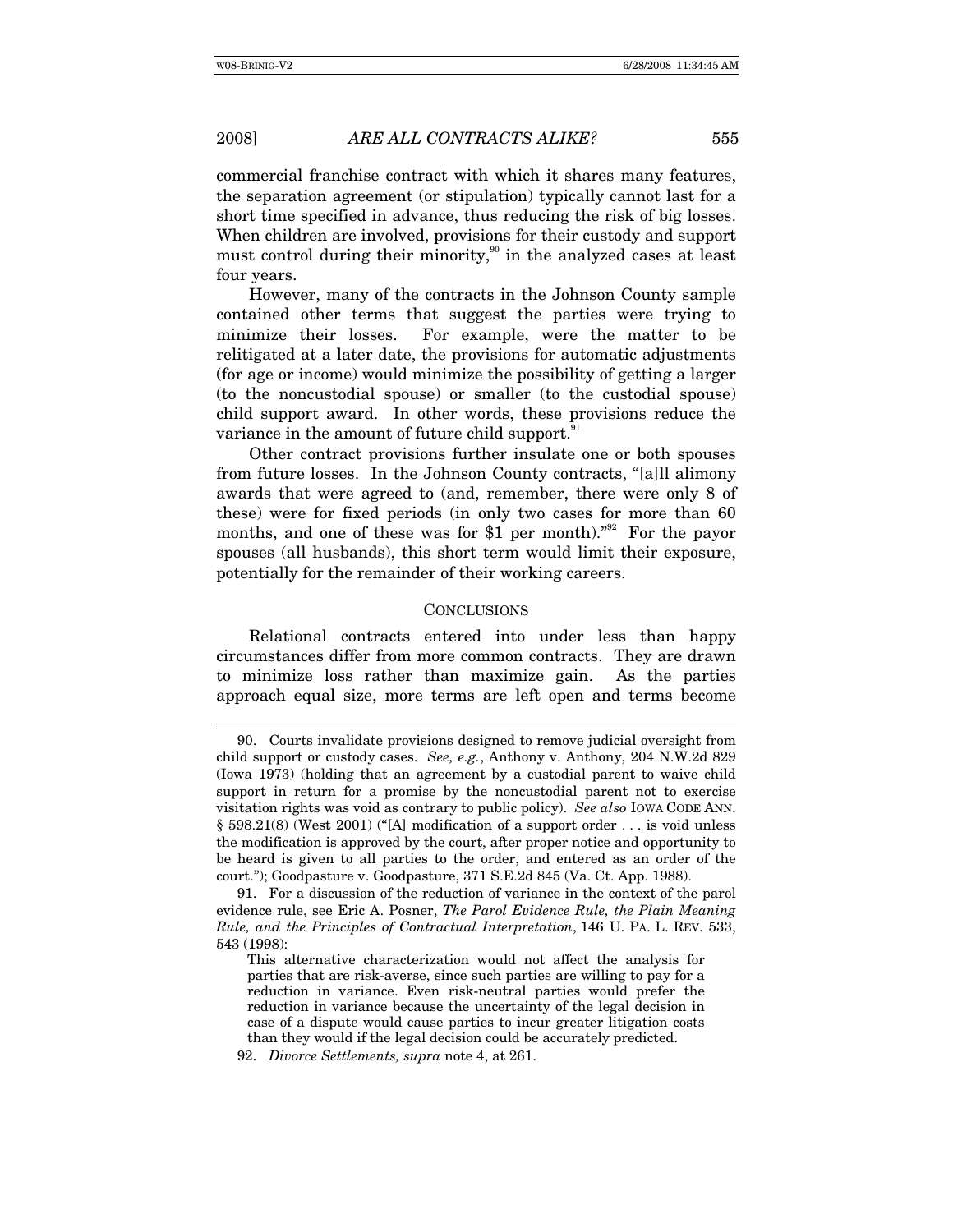## 2008] *ARE ALL CONTRACTS ALIKE?* 555

commercial franchise contract with which it shares many features, the separation agreement (or stipulation) typically cannot last for a short time specified in advance, thus reducing the risk of big losses. When children are involved, provisions for their custody and support must control during their minority, $90$  in the analyzed cases at least four years.

However, many of the contracts in the Johnson County sample contained other terms that suggest the parties were trying to minimize their losses. For example, were the matter to be relitigated at a later date, the provisions for automatic adjustments (for age or income) would minimize the possibility of getting a larger (to the noncustodial spouse) or smaller (to the custodial spouse) child support award. In other words, these provisions reduce the variance in the amount of future child support.<sup>91</sup>

Other contract provisions further insulate one or both spouses from future losses. In the Johnson County contracts, "[a]ll alimony awards that were agreed to (and, remember, there were only 8 of these) were for fixed periods (in only two cases for more than 60 months, and one of these was for \$1 per month)."<sup>92</sup> For the payor spouses (all husbands), this short term would limit their exposure, potentially for the remainder of their working careers.

### **CONCLUSIONS**

Relational contracts entered into under less than happy circumstances differ from more common contracts. They are drawn to minimize loss rather than maximize gain. As the parties approach equal size, more terms are left open and terms become

 <sup>90.</sup> Courts invalidate provisions designed to remove judicial oversight from child support or custody cases. *See, e.g.*, Anthony v. Anthony, 204 N.W.2d 829 (Iowa 1973) (holding that an agreement by a custodial parent to waive child support in return for a promise by the noncustodial parent not to exercise visitation rights was void as contrary to public policy). *See also* IOWA CODE ANN.  $\S$  598.21(8) (West 2001) ("[A] modification of a support order ... is void unless the modification is approved by the court, after proper notice and opportunity to be heard is given to all parties to the order, and entered as an order of the court."); Goodpasture v. Goodpasture, 371 S.E.2d 845 (Va. Ct. App. 1988).

 <sup>91.</sup> For a discussion of the reduction of variance in the context of the parol evidence rule, see Eric A. Posner, *The Parol Evidence Rule, the Plain Meaning Rule, and the Principles of Contractual Interpretation*, 146 U. PA. L. REV. 533, 543 (1998):

This alternative characterization would not affect the analysis for parties that are risk-averse, since such parties are willing to pay for a reduction in variance. Even risk-neutral parties would prefer the reduction in variance because the uncertainty of the legal decision in case of a dispute would cause parties to incur greater litigation costs than they would if the legal decision could be accurately predicted.

<sup>92</sup>. *Divorce Settlements, supra* note 4, at 261.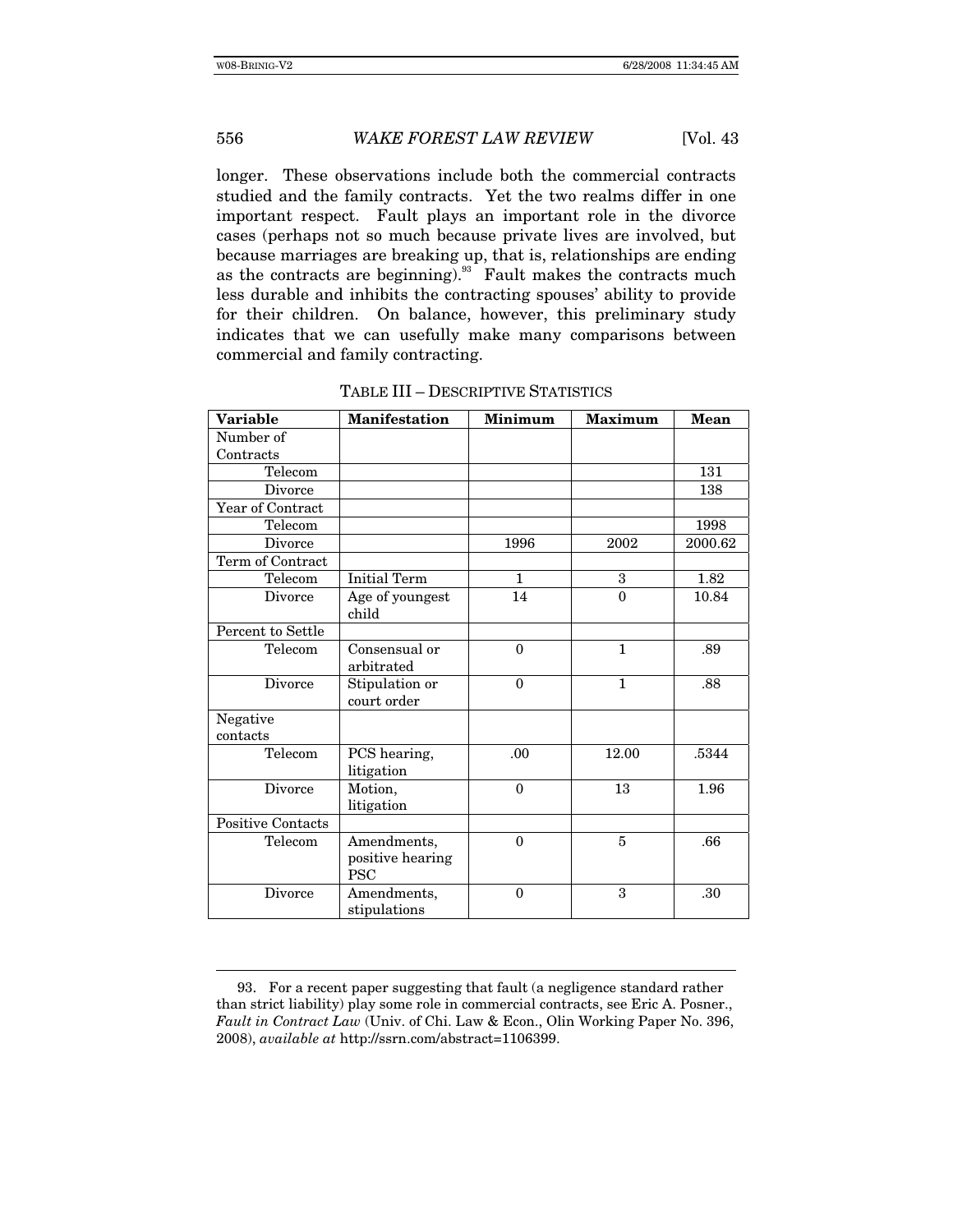## 556 *WAKE FOREST LAW REVIEW* [Vol. 43

longer. These observations include both the commercial contracts studied and the family contracts. Yet the two realms differ in one important respect. Fault plays an important role in the divorce cases (perhaps not so much because private lives are involved, but because marriages are breaking up, that is, relationships are ending as the contracts are beginning). $93$  Fault makes the contracts much less durable and inhibits the contracting spouses' ability to provide for their children. On balance, however, this preliminary study indicates that we can usefully make many comparisons between commercial and family contracting.

| <b>Variable</b>          | <b>Manifestation</b>                          | Minimum      | <b>Maximum</b> | Mean    |
|--------------------------|-----------------------------------------------|--------------|----------------|---------|
| Number of                |                                               |              |                |         |
| Contracts                |                                               |              |                |         |
| Telecom                  |                                               |              |                | 131     |
| <b>Divorce</b>           |                                               |              |                | 138     |
| Year of Contract         |                                               |              |                |         |
| Telecom                  |                                               |              |                | 1998    |
| Divorce                  |                                               | 1996         | 2002           | 2000.62 |
| Term of Contract         |                                               |              |                |         |
| Telecom                  | <b>Initial Term</b>                           | $\mathbf{1}$ | $\sqrt{3}$     | 1.82    |
| <b>Divorce</b>           | Age of youngest<br>child                      | 14           | $\theta$       | 10.84   |
| Percent to Settle        |                                               |              |                |         |
| Telecom                  | Consensual or<br>arbitrated                   | $\theta$     | $\mathbf{1}$   | .89     |
| <b>Divorce</b>           | Stipulation or<br>court order                 | $\Omega$     | $\mathbf{1}$   | .88     |
| Negative<br>contacts     |                                               |              |                |         |
| Telecom                  | PCS hearing,<br>litigation                    | .00.         | 12.00          | .5344   |
| <b>Divorce</b>           | Motion,<br>litigation                         | $\theta$     | 13             | 1.96    |
| <b>Positive Contacts</b> |                                               |              |                |         |
| Telecom                  | Amendments,<br>positive hearing<br><b>PSC</b> | $\theta$     | $\overline{5}$ | .66     |
| <b>Divorce</b>           | Amendments,<br>stipulations                   | $\theta$     | 3              | .30     |

TABLE III – DESCRIPTIVE STATISTICS

<sup>93</sup>. For a recent paper suggesting that fault (a negligence standard rather than strict liability) play some role in commercial contracts, see Eric A. Posner., *Fault in Contract Law* (Univ. of Chi. Law & Econ., Olin Working Paper No. 396, 2008), *available at* http://ssrn.com/abstract=1106399.